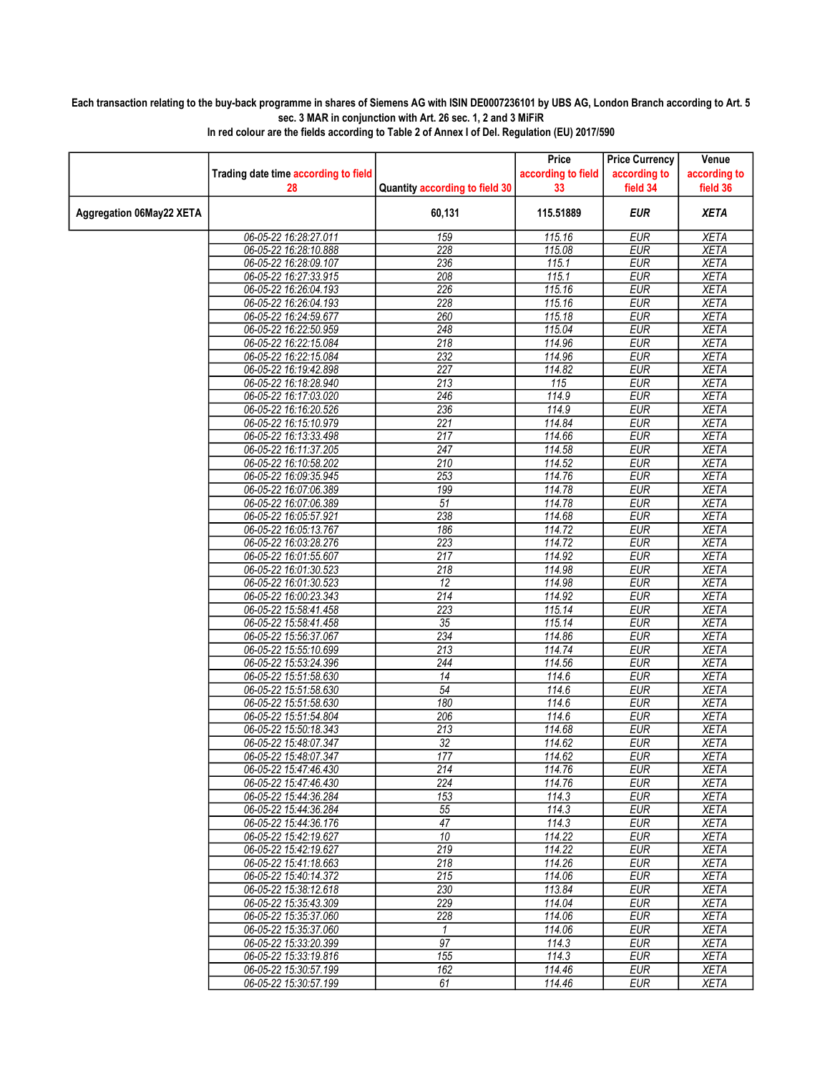## Each transaction relating to the buy-back programme in shares of Siemens AG with ISIN DE0007236101 by UBS AG, London Branch according to Art. 5 sec. 3 MAR in conjunction with Art. 26 sec. 1, 2 and 3 MiFiR

|                          |                                                |                                | Price                    | <b>Price Currency</b>    | Venue                      |
|--------------------------|------------------------------------------------|--------------------------------|--------------------------|--------------------------|----------------------------|
|                          | Trading date time according to field<br>28     | Quantity according to field 30 | according to field<br>33 | according to<br>field 34 | according to<br>field 36   |
| Aggregation 06May22 XETA |                                                | 60,131                         | 115.51889                | <b>EUR</b>               | <b>XETA</b>                |
|                          | 06-05-22 16:28:27.011                          | 159                            | 115.16                   | <b>EUR</b>               | <b>XETA</b>                |
|                          | 06-05-22 16:28:10.888                          | 228                            | 115.08                   | <b>EUR</b>               | <b>XETA</b>                |
|                          | 06-05-22 16:28:09.107                          | 236                            | 115.1                    | <b>EUR</b>               | <b>XETA</b>                |
|                          | 06-05-22 16:27:33.915                          | 208                            | 115.1                    | <b>EUR</b>               | <b>XETA</b>                |
|                          | 06-05-22 16:26:04.193                          | 226                            | 115.16                   | <b>EUR</b>               | <b>XETA</b>                |
|                          | 06-05-22 16:26:04.193                          | 228                            | 115.16                   | <b>EUR</b>               | <b>XETA</b>                |
|                          | 06-05-22 16:24:59.677                          | 260                            | 115.18                   | <b>EUR</b>               | <b>XETA</b>                |
|                          | 06-05-22 16:22:50.959                          | 248<br>$\overline{218}$        | 115.04<br>114.96         | <b>EUR</b><br>EUR        | <b>XETA</b><br><b>XETA</b> |
|                          | 06-05-22 16:22:15.084<br>06-05-22 16:22:15.084 | 232                            | 114.96                   | <b>EUR</b>               | <b>XETA</b>                |
|                          | 06-05-22 16:19:42.898                          | 227                            | 114.82                   | <b>EUR</b>               | <b>XETA</b>                |
|                          | 06-05-22 16:18:28.940                          | 213                            | 115                      | <b>EUR</b>               | <b>XETA</b>                |
|                          | 06-05-22 16:17:03.020                          | 246                            | 114.9                    | <b>EUR</b>               | <b>XETA</b>                |
|                          | 06-05-22 16:16:20.526                          | 236                            | 114.9                    | <b>EUR</b>               | <b>XETA</b>                |
|                          | 06-05-22 16:15:10.979                          | $\overline{221}$               | 114.84                   | <b>EUR</b>               | <b>XETA</b>                |
|                          | 06-05-22 16:13:33.498                          | 217                            | 114.66                   | <b>EUR</b>               | <b>XETA</b>                |
|                          | 06-05-22 16:11:37.205                          | 247                            | 114.58                   | <b>EUR</b>               | <b>XETA</b>                |
|                          | 06-05-22 16:10:58.202                          | 210                            | 114.52                   | <b>EUR</b>               | <b>XETA</b>                |
|                          | 06-05-22 16:09:35.945                          | 253                            | 114.76                   | <b>EUR</b>               | <b>XETA</b>                |
|                          | 06-05-22 16:07:06.389                          | 199                            | 114.78                   | <b>EUR</b>               | <b>XETA</b>                |
|                          | 06-05-22 16:07:06.389                          | 51                             | 114.78                   | <b>EUR</b>               | <b>XETA</b>                |
|                          | 06-05-22 16:05:57.921                          | 238                            | 114.68                   | <b>EUR</b>               | <b>XETA</b>                |
|                          | 06-05-22 16:05:13.767                          | 186                            | 114.72                   | <b>EUR</b>               | <b>XETA</b>                |
|                          | 06-05-22 16:03:28.276                          | 223                            | 114.72                   | <b>EUR</b>               | <b>XETA</b>                |
|                          | 06-05-22 16:01:55.607<br>06-05-22 16:01:30.523 | 217<br>218                     | 114.92<br>114.98         | <b>EUR</b><br><b>EUR</b> | <b>XETA</b><br><b>XETA</b> |
|                          | 06-05-22 16:01:30.523                          | 12                             | 114.98                   | <b>EUR</b>               | <b>XETA</b>                |
|                          | 06-05-22 16:00:23.343                          | 214                            | 114.92                   | <b>EUR</b>               | <b>XETA</b>                |
|                          | 06-05-22 15:58:41.458                          | 223                            | 115.14                   | <b>EUR</b>               | <b>XETA</b>                |
|                          | 06-05-22 15:58:41.458                          | 35                             | 115.14                   | <b>EUR</b>               | <b>XETA</b>                |
|                          | 06-05-22 15:56:37.067                          | 234                            | 114.86                   | <b>EUR</b>               | <b>XETA</b>                |
|                          | 06-05-22 15:55:10.699                          | 213                            | 114.74                   | <b>EUR</b>               | <b>XETA</b>                |
|                          | 06-05-22 15:53:24.396                          | 244                            | 114.56                   | <b>EUR</b>               | <b>XETA</b>                |
|                          | 06-05-22 15:51:58.630                          | $\overline{14}$                | 114.6                    | EUR                      | <b>XETA</b>                |
|                          | 06-05-22 15:51:58.630                          | $\overline{54}$                | 114.6                    | <b>EUR</b>               | <b>XETA</b>                |
|                          | 06-05-22 15:51:58.630                          | 180                            | 114.6                    | <b>EUR</b>               | <b>XETA</b>                |
|                          | 06-05-22 15:51:54.804                          | 206                            | 114.6                    | <b>EUR</b>               | <b>XETA</b>                |
|                          | 06-05-22 15:50:18.343                          | 213                            | 114.68                   | <b>EUR</b><br><b>EUR</b> | <b>XETA</b>                |
|                          | 06-05-22 15:48:07.347<br>06-05-22 15:48:07.347 | 32<br>177                      | 114.62<br>114.62         | <b>EUR</b>               | <b>XETA</b><br><b>XETA</b> |
|                          | 06-05-22 15:47:46.430                          | 214                            | 114.76                   | <b>EUR</b>               | <b>XETA</b>                |
|                          | 06-05-22 15:47:46.430                          | 224                            | 114.76                   | <b>EUR</b>               | <b>XETA</b>                |
|                          | 06-05-22 15:44:36.284                          | 153                            | 114.3                    | <b>EUR</b>               | <b>XETA</b>                |
|                          | 06-05-22 15:44:36.284                          | 55                             | 114.3                    | <b>EUR</b>               | <b>XETA</b>                |
|                          | 06-05-22 15:44:36.176                          | $\overline{47}$                | 114.3                    | <b>EUR</b>               | <b>XETA</b>                |
|                          | 06-05-22 15:42:19.627                          | 10                             | 114.22                   | <b>EUR</b>               | <b>XETA</b>                |
|                          | 06-05-22 15:42:19.627                          | 219                            | 114.22                   | <b>EUR</b>               | <b>XETA</b>                |
|                          | 06-05-22 15:41:18.663                          | 218                            | 114.26                   | <b>EUR</b>               | <b>XETA</b>                |
|                          | 06-05-22 15:40:14.372                          | 215                            | 114.06                   | <b>EUR</b>               | XETA                       |
|                          | 06-05-22 15:38:12.618                          | 230                            | 113.84                   | <b>EUR</b>               | <b>XETA</b>                |
|                          | 06-05-22 15:35:43.309                          | 229                            | 114.04                   | <b>EUR</b>               | <b>XETA</b>                |
|                          | 06-05-22 15:35:37.060                          | 228<br>$\mathcal{I}$           | 114.06<br>114.06         | <b>EUR</b><br><b>EUR</b> | <b>XETA</b><br><b>XETA</b> |
|                          | 06-05-22 15:35:37.060<br>06-05-22 15:33:20.399 | 97                             | 114.3                    | <b>EUR</b>               | <b>XETA</b>                |
|                          | 06-05-22 15:33:19.816                          | 155                            | 114.3                    | <b>EUR</b>               | <b>XETA</b>                |
|                          | 06-05-22 15:30:57.199                          | 162                            | 114.46                   | <b>EUR</b>               | XETA                       |
|                          | 06-05-22 15:30:57.199                          | 61                             | 114.46                   | <b>EUR</b>               | <b>XETA</b>                |
|                          |                                                |                                |                          |                          |                            |

In red colour are the fields according to Table 2 of Annex I of Del. Regulation (EU) 2017/590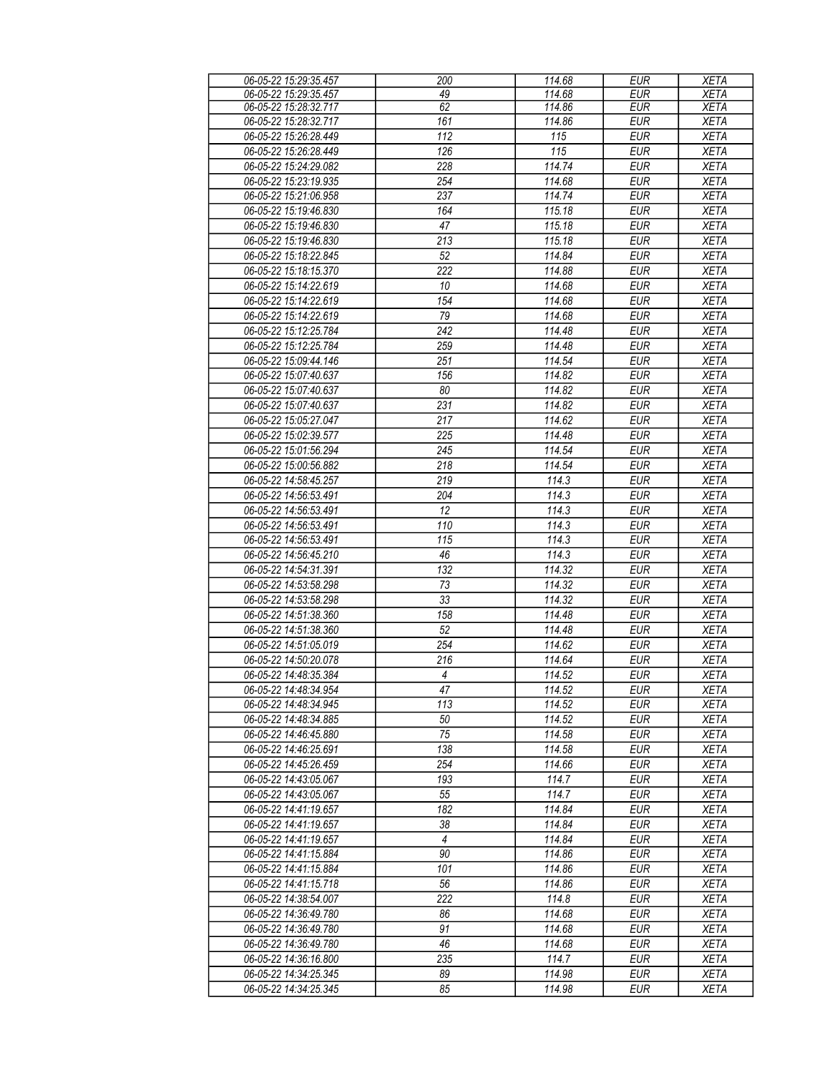| 06-05-22 15:29:35.457 | 200              | 114.68 | <b>EUR</b> | <b>XETA</b> |
|-----------------------|------------------|--------|------------|-------------|
| 06-05-22 15:29:35.457 | 49               | 114.68 | <b>EUR</b> | <b>XETA</b> |
| 06-05-22 15:28:32.717 | 62               | 114.86 | <b>EUR</b> | <b>XETA</b> |
|                       | 161              | 114.86 | <b>EUR</b> |             |
| 06-05-22 15:28:32.717 |                  |        |            | <b>XETA</b> |
| 06-05-22 15:26:28.449 | $\overline{112}$ | 115    | <b>EUR</b> | <b>XETA</b> |
| 06-05-22 15:26:28.449 | 126              | 115    | <b>EUR</b> | <b>XETA</b> |
| 06-05-22 15:24:29.082 | 228              | 114.74 | <b>EUR</b> | <b>XETA</b> |
| 06-05-22 15:23:19.935 | 254              | 114.68 | <b>EUR</b> | <b>XETA</b> |
| 06-05-22 15:21:06.958 | 237              | 114.74 | <b>EUR</b> | <b>XETA</b> |
|                       |                  |        |            |             |
| 06-05-22 15:19:46.830 | 164              | 115.18 | <b>EUR</b> | <b>XETA</b> |
| 06-05-22 15:19:46.830 | 47               | 115.18 | <b>EUR</b> | <b>XETA</b> |
| 06-05-22 15:19:46.830 | 213              | 115.18 | <b>EUR</b> | <b>XETA</b> |
| 06-05-22 15:18:22.845 | 52               | 114.84 | <b>EUR</b> | <b>XETA</b> |
| 06-05-22 15:18:15.370 | 222              | 114.88 | <b>EUR</b> | <b>XETA</b> |
| 06-05-22 15:14:22.619 | 10               | 114.68 | <b>EUR</b> | <b>XETA</b> |
| 06-05-22 15:14:22.619 | 154              | 114.68 | <b>EUR</b> | <b>XETA</b> |
|                       | 79               |        | <b>EUR</b> |             |
| 06-05-22 15:14:22.619 |                  | 114.68 |            | <b>XETA</b> |
| 06-05-22 15:12:25.784 | 242              | 114.48 | <b>EUR</b> | <b>XETA</b> |
| 06-05-22 15:12:25.784 | 259              | 114.48 | <b>EUR</b> | <b>XETA</b> |
| 06-05-22 15:09:44.146 | 251              | 114.54 | <b>EUR</b> | <b>XETA</b> |
| 06-05-22 15:07:40.637 | 156              | 114.82 | <b>EUR</b> | <b>XETA</b> |
| 06-05-22 15:07:40.637 | 80               | 114.82 | <b>EUR</b> | <b>XETA</b> |
| 06-05-22 15:07:40.637 | 231              | 114.82 | <b>EUR</b> | <b>XETA</b> |
| 06-05-22 15:05:27.047 | 217              | 114.62 | <b>EUR</b> | <b>XETA</b> |
|                       |                  |        |            |             |
| 06-05-22 15:02:39.577 | 225              | 114.48 | EUR        | <b>XETA</b> |
| 06-05-22 15:01:56.294 | 245              | 114.54 | <b>EUR</b> | <b>XETA</b> |
| 06-05-22 15:00:56.882 | 218              | 114.54 | <b>EUR</b> | <b>XETA</b> |
| 06-05-22 14:58:45.257 | 219              | 114.3  | <b>EUR</b> | <b>XETA</b> |
| 06-05-22 14:56:53.491 | 204              | 114.3  | <b>EUR</b> | <b>XETA</b> |
| 06-05-22 14:56:53.491 | 12               | 114.3  | <b>EUR</b> | <b>XETA</b> |
| 06-05-22 14:56:53.491 | 110              | 114.3  | <b>EUR</b> | <b>XETA</b> |
|                       | 115              |        |            |             |
| 06-05-22 14:56:53.491 |                  | 114.3  | <b>EUR</b> | <b>XETA</b> |
| 06-05-22 14:56:45.210 | 46               | 114.3  | <b>EUR</b> | <b>XETA</b> |
| 06-05-22 14:54:31.391 | 132              | 114.32 | <b>EUR</b> | <b>XETA</b> |
| 06-05-22 14:53:58.298 | 73               | 114.32 | <b>EUR</b> | <b>XETA</b> |
| 06-05-22 14:53:58.298 | 33               | 114.32 | <b>EUR</b> | <b>XETA</b> |
| 06-05-22 14:51:38.360 | 158              | 114.48 | <b>EUR</b> | <b>XETA</b> |
| 06-05-22 14:51:38.360 | 52               | 114.48 | <b>EUR</b> | <b>XETA</b> |
| 06-05-22 14:51:05.019 | 254              | 114.62 | <b>EUR</b> | <b>XETA</b> |
| 06-05-22 14:50:20.078 |                  |        |            |             |
|                       | 216              | 114.64 | <b>EUR</b> | <b>XETA</b> |
| 06-05-22 14:48:35.384 | $\overline{4}$   | 114.52 | EUR        | <b>XETA</b> |
| 06-05-22 14:48:34.954 | 47               | 114.52 | <b>EUR</b> | <b>XETA</b> |
| 06-05-22 14:48:34.945 | 113              | 114.52 | <b>EUR</b> | <b>XETA</b> |
| 06-05-22 14:48:34.885 | 50               | 114.52 | <b>EUR</b> | <b>XETA</b> |
| 06-05-22 14:46:45.880 | 75               | 114.58 | <b>EUR</b> | <b>XETA</b> |
| 06-05-22 14:46:25.691 | 138              | 114.58 | <b>EUR</b> | <b>XETA</b> |
| 06-05-22 14:45:26.459 | 254              | 114.66 | <b>EUR</b> | <b>XETA</b> |
| 06-05-22 14:43:05.067 | 193              | 114.7  | <b>EUR</b> | <b>XETA</b> |
|                       |                  |        |            |             |
| 06-05-22 14:43:05.067 | 55               | 114.7  | <b>EUR</b> | <b>XETA</b> |
| 06-05-22 14:41:19.657 | 182              | 114.84 | <b>EUR</b> | <b>XETA</b> |
| 06-05-22 14:41:19.657 | 38               | 114.84 | <b>EUR</b> | <b>XETA</b> |
| 06-05-22 14:41:19.657 | 4                | 114.84 | <b>EUR</b> | <b>XETA</b> |
| 06-05-22 14:41:15.884 | 90               | 114.86 | <b>EUR</b> | <b>XETA</b> |
| 06-05-22 14:41:15.884 | 101              | 114.86 | <b>EUR</b> | <b>XETA</b> |
| 06-05-22 14:41:15.718 | 56               | 114.86 | <b>EUR</b> | <b>XETA</b> |
| 06-05-22 14:38:54.007 | 222              | 114.8  | <b>EUR</b> | <b>XETA</b> |
|                       |                  |        |            |             |
| 06-05-22 14:36:49.780 | 86               | 114.68 | <b>EUR</b> | <b>XETA</b> |
| 06-05-22 14:36:49.780 | 91               | 114.68 | <b>EUR</b> | <b>XETA</b> |
| 06-05-22 14:36:49.780 | 46               | 114.68 | <b>EUR</b> | <b>XETA</b> |
| 06-05-22 14:36:16.800 | 235              | 114.7  | <b>EUR</b> | <b>XETA</b> |
| 06-05-22 14:34:25.345 | 89               | 114.98 | <b>EUR</b> | <b>XETA</b> |
| 06-05-22 14:34:25.345 | 85               | 114.98 | <b>EUR</b> | <b>XETA</b> |
|                       |                  |        |            |             |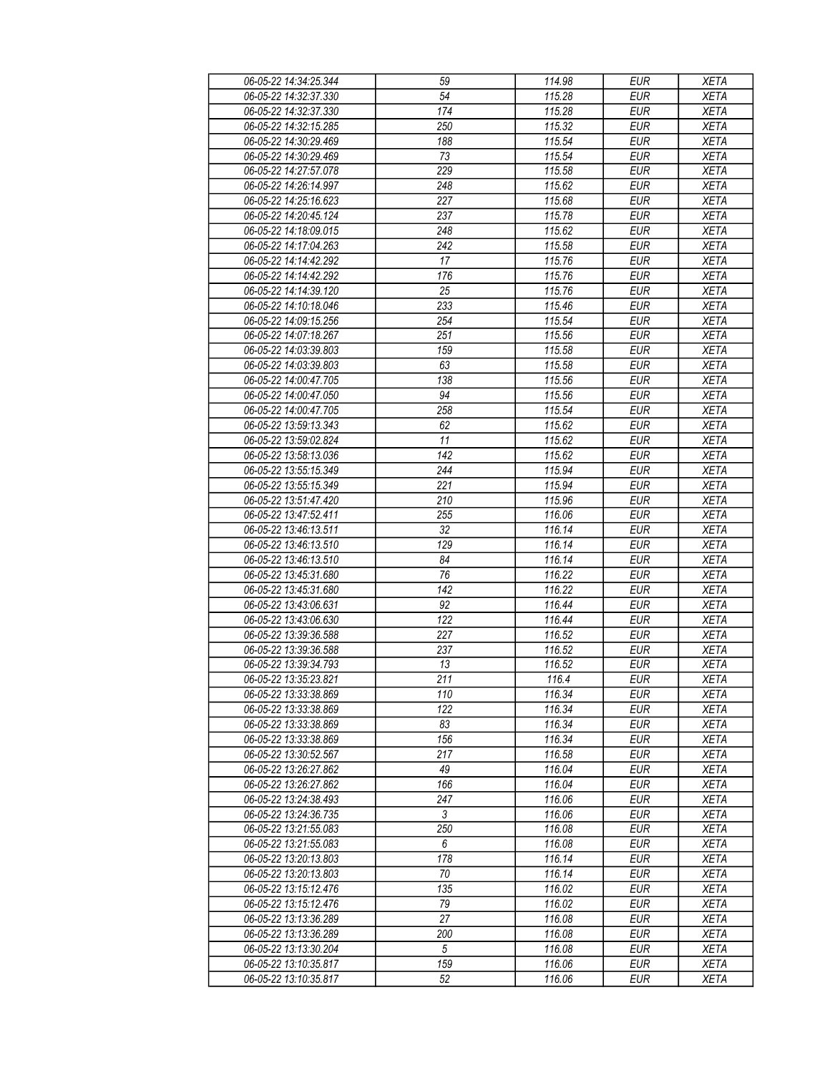| 06-05-22 14:34:25.344 | 59               | 114.98 | <b>EUR</b> | <b>XETA</b> |
|-----------------------|------------------|--------|------------|-------------|
| 06-05-22 14:32:37.330 | 54               | 115.28 | <b>EUR</b> | <b>XETA</b> |
| 06-05-22 14:32:37.330 | 174              | 115.28 | <b>EUR</b> | <b>XETA</b> |
| 06-05-22 14:32:15.285 | 250              | 115.32 | <b>EUR</b> | <b>XETA</b> |
| 06-05-22 14:30:29.469 | 188              | 115.54 | <b>EUR</b> | <b>XETA</b> |
| 06-05-22 14:30:29.469 | 73               | 115.54 | <b>EUR</b> | <b>XETA</b> |
| 06-05-22 14:27:57.078 | 229              | 115.58 | <b>EUR</b> | <b>XETA</b> |
| 06-05-22 14:26:14.997 | 248              | 115.62 | <b>EUR</b> | <b>XETA</b> |
| 06-05-22 14:25:16.623 | 227              | 115.68 | <b>EUR</b> | <b>XETA</b> |
| 06-05-22 14:20:45.124 | 237              | 115.78 | <b>EUR</b> | <b>XETA</b> |
| 06-05-22 14:18:09.015 | 248              | 115.62 | <b>EUR</b> | <b>XETA</b> |
| 06-05-22 14:17:04.263 | 242              | 115.58 | <b>EUR</b> | <b>XETA</b> |
| 06-05-22 14:14:42.292 | 17               | 115.76 | <b>EUR</b> | <b>XETA</b> |
| 06-05-22 14:14:42.292 | 176              | 115.76 | <b>EUR</b> | <b>XETA</b> |
| 06-05-22 14:14:39.120 | $\overline{25}$  | 115.76 | <b>EUR</b> | <b>XETA</b> |
| 06-05-22 14:10:18.046 | 233              | 115.46 | <b>EUR</b> | <b>XETA</b> |
| 06-05-22 14:09:15.256 | 254              | 115.54 | <b>EUR</b> | <b>XETA</b> |
| 06-05-22 14:07:18.267 | 251              | 115.56 | <b>EUR</b> | <b>XETA</b> |
| 06-05-22 14:03:39.803 | 159              | 115.58 | <b>EUR</b> | <b>XETA</b> |
| 06-05-22 14:03:39.803 | 63               | 115.58 | <b>EUR</b> | <b>XETA</b> |
| 06-05-22 14:00:47.705 | 138              | 115.56 | <b>EUR</b> | <b>XETA</b> |
| 06-05-22 14:00:47.050 | 94               | 115.56 | <b>EUR</b> | <b>XETA</b> |
| 06-05-22 14:00:47.705 | 258              | 115.54 | <b>EUR</b> | <b>XETA</b> |
| 06-05-22 13:59:13.343 | 62               | 115.62 | <b>EUR</b> | <b>XETA</b> |
|                       |                  |        |            |             |
| 06-05-22 13:59:02.824 | 11               | 115.62 | <b>EUR</b> | <b>XETA</b> |
| 06-05-22 13:58:13.036 | 142              | 115.62 | <b>EUR</b> | <b>XETA</b> |
| 06-05-22 13:55:15.349 | 244              | 115.94 | <b>EUR</b> | <b>XETA</b> |
| 06-05-22 13:55:15.349 | 221              | 115.94 | <b>EUR</b> | <b>XETA</b> |
| 06-05-22 13:51:47.420 | 210              | 115.96 | <b>EUR</b> | <b>XETA</b> |
| 06-05-22 13:47:52.411 | 255              | 116.06 | <b>EUR</b> | <b>XETA</b> |
| 06-05-22 13:46:13.511 | 32               | 116.14 | <b>EUR</b> | <b>XETA</b> |
| 06-05-22 13:46:13.510 | 129              | 116.14 | <b>EUR</b> | <b>XETA</b> |
| 06-05-22 13:46:13.510 | 84               | 116.14 | <b>EUR</b> | <b>XETA</b> |
| 06-05-22 13:45:31.680 | 76               | 116.22 | <b>EUR</b> | <b>XETA</b> |
| 06-05-22 13:45:31.680 | 142              | 116.22 | <b>EUR</b> | <b>XETA</b> |
| 06-05-22 13:43:06.631 | 92               | 116.44 | <b>EUR</b> | <b>XETA</b> |
| 06-05-22 13:43:06.630 | 122              | 116.44 | <b>EUR</b> | <b>XETA</b> |
| 06-05-22 13:39:36.588 | 227              | 116.52 | <b>EUR</b> | <b>XETA</b> |
| 06-05-22 13:39:36.588 | 237              | 116.52 | <b>EUR</b> | <b>XETA</b> |
| 06-05-22 13:39:34.793 | 13               | 116.52 | <b>EUR</b> | <b>XETA</b> |
| 06-05-22 13:35:23.821 | $\overline{211}$ | 116.4  | EUR        | <b>XETA</b> |
| 06-05-22 13:33:38.869 | 110              | 116.34 | <b>EUR</b> | <b>XETA</b> |
| 06-05-22 13:33:38.869 | 122              | 116.34 | <b>EUR</b> | <b>XETA</b> |
| 06-05-22 13:33:38.869 | 83               | 116.34 | <b>EUR</b> | <b>XETA</b> |
| 06-05-22 13:33:38.869 | 156              | 116.34 | <b>EUR</b> | <b>XETA</b> |
| 06-05-22 13:30:52.567 | 217              | 116.58 | <b>EUR</b> | <b>XETA</b> |
| 06-05-22 13:26:27.862 | 49               | 116.04 | <b>EUR</b> | <b>XETA</b> |
| 06-05-22 13:26:27.862 | 166              | 116.04 | <b>EUR</b> | <b>XETA</b> |
| 06-05-22 13:24:38.493 | 247              | 116.06 | <b>EUR</b> | <b>XETA</b> |
| 06-05-22 13:24:36.735 | 3                | 116.06 | <b>EUR</b> | <b>XETA</b> |
| 06-05-22 13:21:55.083 | 250              | 116.08 | <b>EUR</b> | <b>XETA</b> |
| 06-05-22 13:21:55.083 | 6                | 116.08 | <b>EUR</b> | <b>XETA</b> |
| 06-05-22 13:20:13.803 | 178              | 116.14 | <b>EUR</b> | <b>XETA</b> |
| 06-05-22 13:20:13.803 | 70               | 116.14 | <b>EUR</b> | <b>XETA</b> |
| 06-05-22 13:15:12.476 | 135              | 116.02 | <b>EUR</b> | <b>XETA</b> |
| 06-05-22 13:15:12.476 | 79               | 116.02 | <b>EUR</b> | <b>XETA</b> |
| 06-05-22 13:13:36.289 | 27               | 116.08 | <b>EUR</b> | <b>XETA</b> |
| 06-05-22 13:13:36.289 | 200              | 116.08 | <b>EUR</b> | <b>XETA</b> |
| 06-05-22 13:13:30.204 | 5                | 116.08 | <b>EUR</b> | <b>XETA</b> |
| 06-05-22 13:10:35.817 | 159              | 116.06 | <b>EUR</b> | <b>XETA</b> |
| 06-05-22 13:10:35.817 | 52               | 116.06 | <b>EUR</b> | <b>XETA</b> |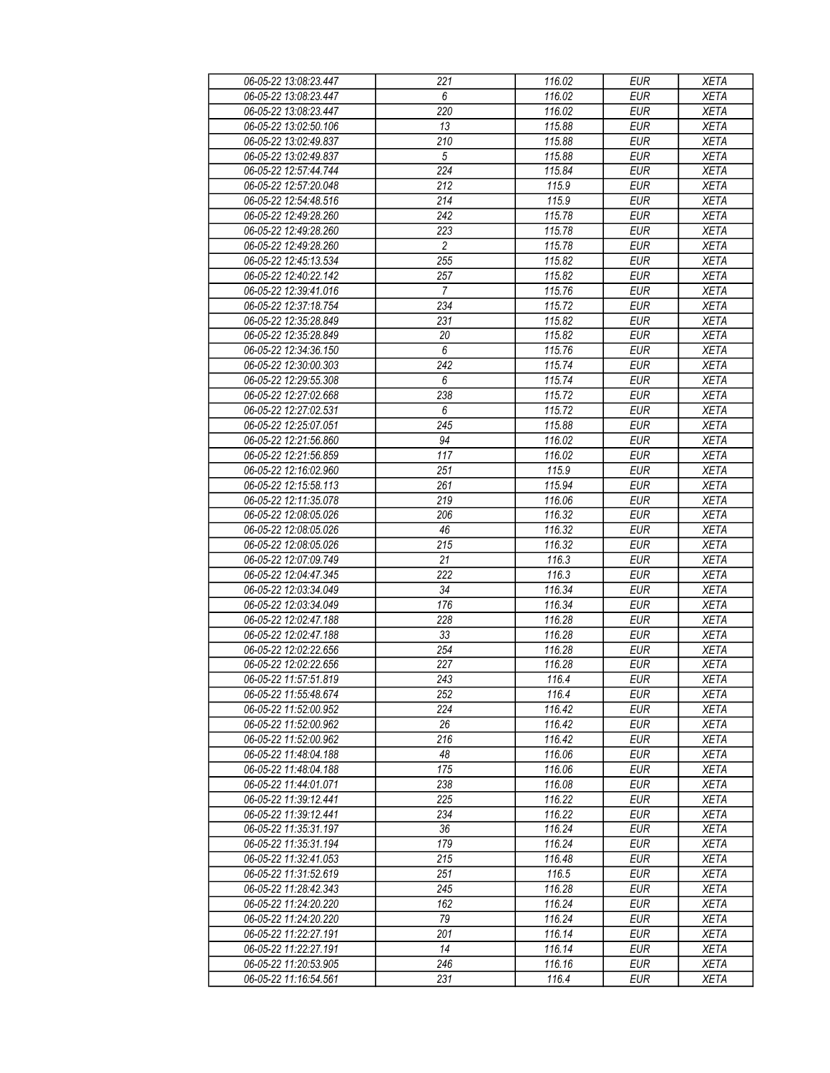| 06-05-22 13:08:23.447 | 221              | 116.02 | <b>EUR</b> | <b>XETA</b> |
|-----------------------|------------------|--------|------------|-------------|
| 06-05-22 13:08:23.447 | 6                | 116.02 | <b>EUR</b> | <b>XETA</b> |
| 06-05-22 13:08:23.447 | 220              | 116.02 | <b>EUR</b> | <b>XETA</b> |
| 06-05-22 13:02:50.106 | 13               | 115.88 | <b>EUR</b> | <b>XETA</b> |
| 06-05-22 13:02:49.837 | 210              | 115.88 | <b>EUR</b> | <b>XETA</b> |
| 06-05-22 13:02:49.837 | $\sqrt{5}$       | 115.88 | <b>EUR</b> | <b>XETA</b> |
| 06-05-22 12:57:44.744 | 224              | 115.84 | <b>EUR</b> | <b>XETA</b> |
| 06-05-22 12:57:20.048 | 212              | 115.9  | <b>EUR</b> | <b>XETA</b> |
| 06-05-22 12:54:48.516 | 214              | 115.9  | <b>EUR</b> | <b>XETA</b> |
| 06-05-22 12:49:28.260 | 242              | 115.78 | <b>EUR</b> | <b>XETA</b> |
| 06-05-22 12:49:28.260 | 223              | 115.78 | <b>EUR</b> | <b>XETA</b> |
| 06-05-22 12:49:28.260 | $\overline{c}$   | 115.78 | <b>EUR</b> | <b>XETA</b> |
| 06-05-22 12:45:13.534 | 255              | 115.82 | <b>EUR</b> | <b>XETA</b> |
| 06-05-22 12:40:22.142 | 257              | 115.82 | <b>EUR</b> | <b>XETA</b> |
| 06-05-22 12:39:41.016 | $\overline{7}$   | 115.76 | <b>EUR</b> | <b>XETA</b> |
| 06-05-22 12:37:18.754 | 234              | 115.72 | <b>EUR</b> | <b>XETA</b> |
| 06-05-22 12:35:28.849 | 231              | 115.82 | EUR        | <b>XETA</b> |
| 06-05-22 12:35:28.849 | 20               | 115.82 | <b>EUR</b> | <b>XETA</b> |
|                       |                  |        |            |             |
| 06-05-22 12:34:36.150 | 6                | 115.76 | <b>EUR</b> | <b>XETA</b> |
| 06-05-22 12:30:00.303 | 242              | 115.74 | <b>EUR</b> | <b>XETA</b> |
| 06-05-22 12:29:55.308 | 6                | 115.74 | <b>EUR</b> | <b>XETA</b> |
| 06-05-22 12:27:02.668 | 238              | 115.72 | <b>EUR</b> | <b>XETA</b> |
| 06-05-22 12:27:02.531 | 6                | 115.72 | <b>EUR</b> | <b>XETA</b> |
| 06-05-22 12:25:07.051 | 245              | 115.88 | <b>EUR</b> | <b>XETA</b> |
| 06-05-22 12:21:56.860 | 94               | 116.02 | <b>EUR</b> | <b>XETA</b> |
| 06-05-22 12:21:56.859 | $\overline{117}$ | 116.02 | <b>EUR</b> | <b>XETA</b> |
| 06-05-22 12:16:02.960 | 251              | 115.9  | <b>EUR</b> | <b>XETA</b> |
| 06-05-22 12:15:58.113 | 261              | 115.94 | <b>EUR</b> | <b>XETA</b> |
| 06-05-22 12:11:35.078 | 219              | 116.06 | <b>EUR</b> | <b>XETA</b> |
| 06-05-22 12:08:05.026 | 206              | 116.32 | <b>EUR</b> | <b>XETA</b> |
| 06-05-22 12:08:05.026 | 46               | 116.32 | <b>EUR</b> | <b>XETA</b> |
| 06-05-22 12:08:05.026 | 215              | 116.32 | <b>EUR</b> | <b>XETA</b> |
| 06-05-22 12:07:09.749 | 21               | 116.3  | <b>EUR</b> | <b>XETA</b> |
| 06-05-22 12:04:47.345 | 222              | 116.3  | <b>EUR</b> | <b>XETA</b> |
| 06-05-22 12:03:34.049 | 34               | 116.34 | <b>EUR</b> | <b>XETA</b> |
| 06-05-22 12:03:34.049 | 176              | 116.34 | <b>EUR</b> | <b>XETA</b> |
| 06-05-22 12:02:47.188 | 228              | 116.28 | <b>EUR</b> | <b>XETA</b> |
| 06-05-22 12:02:47.188 | 33               | 116.28 | <b>EUR</b> | <b>XETA</b> |
| 06-05-22 12:02:22.656 | 254              | 116.28 | <b>EUR</b> | <b>XETA</b> |
| 06-05-22 12:02:22.656 | 227              | 116.28 | <b>EUR</b> | <b>XETA</b> |
| 06-05-22 11:57:51.819 | 243              | 116.4  | EUR        | <b>XETA</b> |
| 06-05-22 11:55:48.674 | 252              | 116.4  | <b>EUR</b> | <b>XETA</b> |
| 06-05-22 11:52:00.952 | 224              | 116.42 | <b>EUR</b> | <b>XETA</b> |
| 06-05-22 11:52:00.962 | 26               | 116.42 | <b>EUR</b> | <b>XETA</b> |
| 06-05-22 11:52:00.962 | 216              | 116.42 | <b>EUR</b> | <b>XETA</b> |
| 06-05-22 11:48:04.188 | 48               | 116.06 | <b>EUR</b> | <b>XETA</b> |
| 06-05-22 11:48:04.188 | 175              | 116.06 | <b>EUR</b> | <b>XETA</b> |
| 06-05-22 11:44:01.071 | 238              | 116.08 | <b>EUR</b> | <b>XETA</b> |
| 06-05-22 11:39:12.441 | 225              | 116.22 | <b>EUR</b> | <b>XETA</b> |
| 06-05-22 11:39:12.441 | 234              | 116.22 | <b>EUR</b> | <b>XETA</b> |
| 06-05-22 11:35:31.197 | 36               | 116.24 | <b>EUR</b> | <b>XETA</b> |
| 06-05-22 11:35:31.194 | 179              | 116.24 | <b>EUR</b> | <b>XETA</b> |
| 06-05-22 11:32:41.053 | 215              | 116.48 | <b>EUR</b> | <b>XETA</b> |
| 06-05-22 11:31:52.619 | 251              | 116.5  | <b>EUR</b> | <b>XETA</b> |
| 06-05-22 11:28:42.343 | 245              | 116.28 | <b>EUR</b> | <b>XETA</b> |
| 06-05-22 11:24:20.220 | 162              | 116.24 | <b>EUR</b> | <b>XETA</b> |
| 06-05-22 11:24:20.220 | 79               | 116.24 | <b>EUR</b> | <b>XETA</b> |
| 06-05-22 11:22:27.191 | 201              | 116.14 | <b>EUR</b> | <b>XETA</b> |
| 06-05-22 11:22:27.191 | 14               | 116.14 | <b>EUR</b> | <b>XETA</b> |
| 06-05-22 11:20:53.905 | 246              | 116.16 | <b>EUR</b> | <b>XETA</b> |
| 06-05-22 11:16:54.561 | 231              | 116.4  | <b>EUR</b> | <b>XETA</b> |
|                       |                  |        |            |             |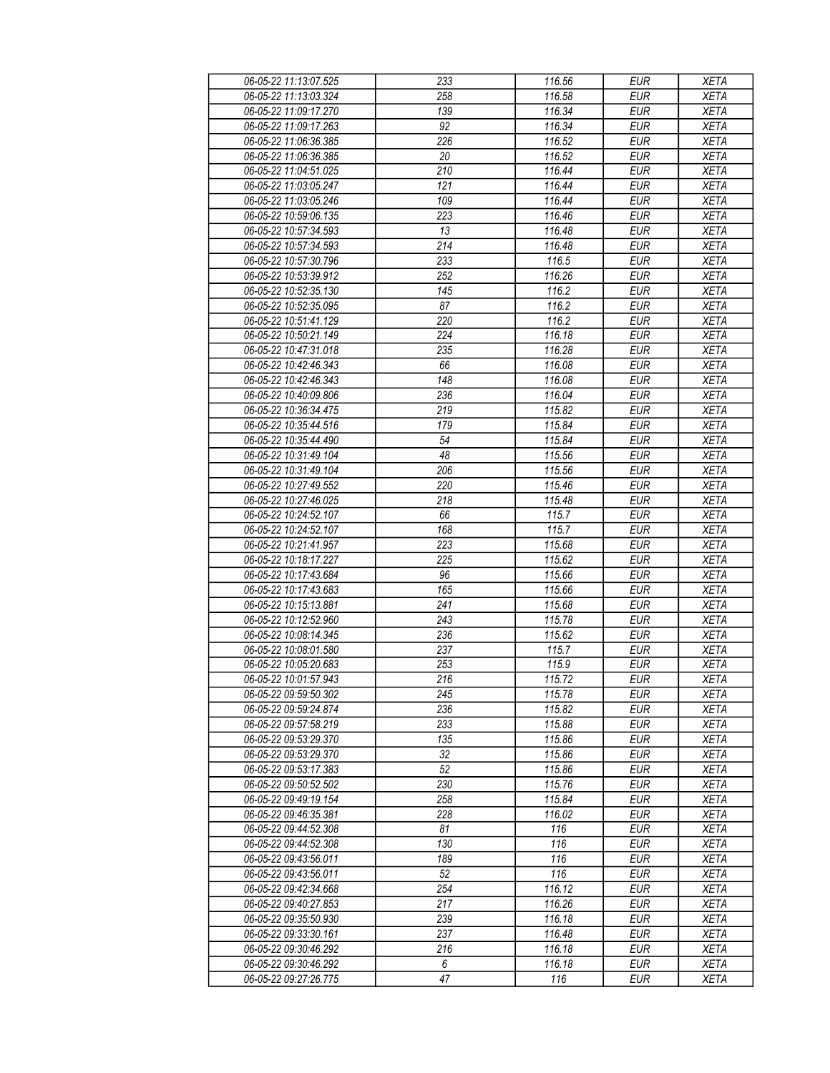| 06-05-22 11:13:07.525 | 233              | 116.56 | <b>EUR</b>       | <b>XETA</b> |
|-----------------------|------------------|--------|------------------|-------------|
| 06-05-22 11:13:03.324 | 258              | 116.58 | <b>EUR</b>       | <b>XETA</b> |
| 06-05-22 11:09:17.270 | 139              | 116.34 | <b>EUR</b>       | <b>XETA</b> |
| 06-05-22 11:09:17.263 | 92               | 116.34 | <b>EUR</b>       | <b>XETA</b> |
| 06-05-22 11:06:36.385 | 226              | 116.52 | <b>EUR</b>       | <b>XETA</b> |
| 06-05-22 11:06:36.385 | 20               | 116.52 | <b>EUR</b>       | <b>XETA</b> |
| 06-05-22 11:04:51.025 | 210              | 116.44 | <b>EUR</b>       | <b>XETA</b> |
| 06-05-22 11:03:05.247 | 121              | 116.44 | <b>EUR</b>       | <b>XETA</b> |
| 06-05-22 11:03:05.246 | 109              | 116.44 | <b>EUR</b>       | <b>XETA</b> |
| 06-05-22 10:59:06.135 | 223              | 116.46 | <b>EUR</b>       | <b>XETA</b> |
| 06-05-22 10:57:34.593 | 13               | 116.48 | <b>EUR</b>       | <b>XETA</b> |
| 06-05-22 10:57:34.593 | 214              | 116.48 | <b>EUR</b>       | <b>XETA</b> |
| 06-05-22 10:57:30.796 | 233              | 116.5  | <b>EUR</b>       | <b>XETA</b> |
| 06-05-22 10:53:39.912 | 252              | 116.26 | <b>EUR</b>       | <b>XETA</b> |
| 06-05-22 10:52:35.130 | $\overline{145}$ | 116.2  | EUR              | <b>XETA</b> |
| 06-05-22 10:52:35.095 | 87               | 116.2  | <b>EUR</b>       | <b>XETA</b> |
| 06-05-22 10:51:41.129 | 220              | 116.2  | <b>EUR</b>       | <b>XETA</b> |
|                       |                  |        |                  |             |
| 06-05-22 10:50:21.149 | 224              | 116.18 | <b>EUR</b>       | <b>XETA</b> |
| 06-05-22 10:47:31.018 | 235              | 116.28 | <b>EUR</b>       | <b>XETA</b> |
| 06-05-22 10:42:46.343 | 66               | 116.08 | <b>EUR</b>       | <b>XETA</b> |
| 06-05-22 10:42:46.343 | 148              | 116.08 | <b>EUR</b>       | <b>XETA</b> |
| 06-05-22 10:40:09.806 | 236              | 116.04 | <b>EUR</b>       | <b>XETA</b> |
| 06-05-22 10:36:34.475 | 219              | 115.82 | <b>EUR</b>       | <b>XETA</b> |
| 06-05-22 10:35:44.516 | 179              | 115.84 | <b>EUR</b>       | <b>XETA</b> |
| 06-05-22 10:35:44.490 | 54               | 115.84 | <b>EUR</b>       | <b>XETA</b> |
| 06-05-22 10:31:49.104 | 48               | 115.56 | <b>EUR</b>       | <b>XETA</b> |
| 06-05-22 10:31:49.104 | 206              | 115.56 | <b>EUR</b>       | <b>XETA</b> |
| 06-05-22 10:27:49.552 | 220              | 115.46 | <b>EUR</b>       | <b>XETA</b> |
| 06-05-22 10:27:46.025 | 218              | 115.48 | $E\overline{UR}$ | <b>XETA</b> |
| 06-05-22 10:24:52.107 | 66               | 115.7  | <b>EUR</b>       | <b>XETA</b> |
| 06-05-22 10:24:52.107 | 168              | 115.7  | <b>EUR</b>       | <b>XETA</b> |
| 06-05-22 10:21:41.957 | 223              | 115.68 | <b>EUR</b>       | <b>XETA</b> |
| 06-05-22 10:18:17.227 | 225              | 115.62 | <b>EUR</b>       | <b>XETA</b> |
| 06-05-22 10:17:43.684 | 96               | 115.66 | <b>EUR</b>       | <b>XETA</b> |
| 06-05-22 10:17:43.683 | 165              | 115.66 | <b>EUR</b>       | <b>XETA</b> |
| 06-05-22 10:15:13.881 | 241              | 115.68 | <b>EUR</b>       | <b>XETA</b> |
| 06-05-22 10:12:52.960 | 243              | 115.78 | <b>EUR</b>       | <b>XETA</b> |
| 06-05-22 10:08:14.345 | 236              | 115.62 | <b>EUR</b>       | <b>XETA</b> |
| 06-05-22 10:08:01.580 | 237              | 115.7  | <b>EUR</b>       | <b>XETA</b> |
| 06-05-22 10:05:20.683 | 253              | 115.9  | <b>EUR</b>       | <b>XETA</b> |
| 06-05-22 10:01:57.943 | 216              | 115.72 | <b>EUR</b>       | <b>XETA</b> |
| 06-05-22 09:59:50.302 | 245              | 115.78 | <b>EUR</b>       | <b>XETA</b> |
| 06-05-22 09:59:24.874 | 236              | 115.82 | <b>EUR</b>       | <b>XETA</b> |
| 06-05-22 09:57:58.219 | 233              | 115.88 | <b>EUR</b>       | <b>XETA</b> |
| 06-05-22 09:53:29.370 | 135              | 115.86 | <b>EUR</b>       | <b>XETA</b> |
| 06-05-22 09:53:29.370 | 32               | 115.86 | <b>EUR</b>       | <b>XETA</b> |
| 06-05-22 09:53:17.383 | 52               | 115.86 | <b>EUR</b>       | <b>XETA</b> |
| 06-05-22 09:50:52.502 | 230              | 115.76 | <b>EUR</b>       | <b>XETA</b> |
| 06-05-22 09:49:19.154 | 258              | 115.84 | <b>EUR</b>       | <b>XETA</b> |
| 06-05-22 09:46:35.381 | 228              | 116.02 | <b>EUR</b>       | <b>XETA</b> |
| 06-05-22 09:44:52.308 | 81               | 116    | <b>EUR</b>       | <b>XETA</b> |
| 06-05-22 09:44:52.308 | 130              | 116    | <b>EUR</b>       | <b>XETA</b> |
| 06-05-22 09:43:56.011 | 189              | 116    | <b>EUR</b>       | <b>XETA</b> |
| 06-05-22 09:43:56.011 | 52               | 116    | <b>EUR</b>       | <b>XETA</b> |
| 06-05-22 09:42:34.668 | 254              | 116.12 | <b>EUR</b>       | <b>XETA</b> |
| 06-05-22 09:40:27.853 | 217              | 116.26 | <b>EUR</b>       | <b>XETA</b> |
| 06-05-22 09:35:50.930 | 239              | 116.18 | <b>EUR</b>       | <b>XETA</b> |
| 06-05-22 09:33:30.161 | 237              | 116.48 | <b>EUR</b>       | <b>XETA</b> |
| 06-05-22 09:30:46.292 | 216              | 116.18 | <b>EUR</b>       | <b>XETA</b> |
| 06-05-22 09:30:46.292 | 6                | 116.18 | <b>EUR</b>       | <b>XETA</b> |
| 06-05-22 09:27:26.775 | 47               | 116    | <b>EUR</b>       | <b>XETA</b> |
|                       |                  |        |                  |             |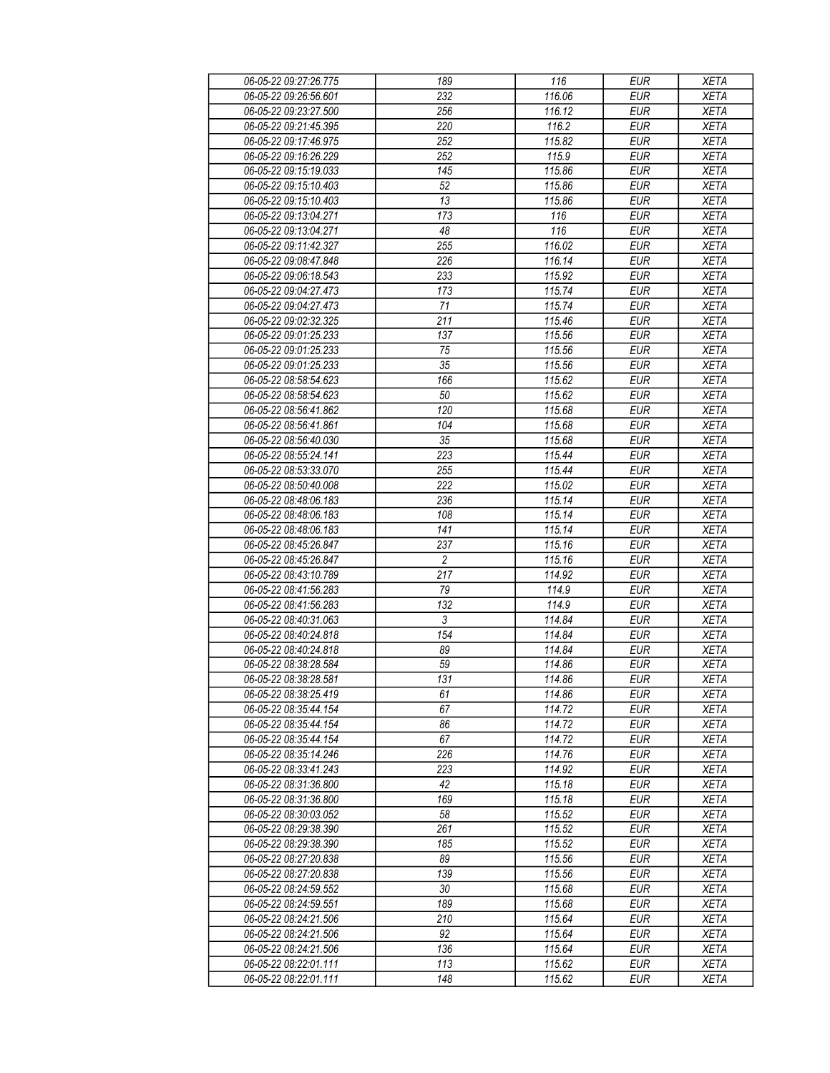| 06-05-22 09:27:26.775 | 189              | 116    | <b>EUR</b> | <b>XETA</b> |
|-----------------------|------------------|--------|------------|-------------|
| 06-05-22 09:26:56.601 | 232              | 116.06 | <b>EUR</b> | <b>XETA</b> |
| 06-05-22 09:23:27.500 | 256              | 116.12 | <b>EUR</b> | <b>XETA</b> |
| 06-05-22 09:21:45.395 | 220              | 116.2  | <b>EUR</b> | <b>XETA</b> |
| 06-05-22 09:17:46.975 | 252              | 115.82 | <b>EUR</b> | <b>XETA</b> |
| 06-05-22 09:16:26.229 | 252              | 115.9  | <b>EUR</b> | <b>XETA</b> |
| 06-05-22 09:15:19.033 | 145              | 115.86 | <b>EUR</b> | <b>XETA</b> |
| 06-05-22 09:15:10.403 | 52               | 115.86 | <b>EUR</b> | <b>XETA</b> |
| 06-05-22 09:15:10.403 | 13               | 115.86 | <b>EUR</b> | <b>XETA</b> |
| 06-05-22 09:13:04.271 | 173              | 116    | EUR        | <b>XETA</b> |
| 06-05-22 09:13:04.271 | 48               | 116    | <b>EUR</b> | <b>XETA</b> |
| 06-05-22 09:11:42.327 | 255              | 116.02 | <b>EUR</b> | <b>XETA</b> |
| 06-05-22 09:08:47.848 | 226              | 116.14 | <b>EUR</b> | <b>XETA</b> |
| 06-05-22 09:06:18.543 | 233              | 115.92 | <b>EUR</b> | <b>XETA</b> |
| 06-05-22 09:04:27.473 | 173              | 115.74 | <b>EUR</b> | <b>XETA</b> |
| 06-05-22 09:04:27.473 | 71               | 115.74 | <b>EUR</b> | <b>XETA</b> |
| 06-05-22 09:02:32.325 | 211              | 115.46 | <b>EUR</b> | <b>XETA</b> |
| 06-05-22 09:01:25.233 | 137              | 115.56 | <b>EUR</b> | <b>XETA</b> |
| 06-05-22 09:01:25.233 | 75               | 115.56 | <b>EUR</b> | <b>XETA</b> |
|                       |                  |        |            |             |
| 06-05-22 09:01:25.233 | 35               | 115.56 | <b>EUR</b> | <b>XETA</b> |
| 06-05-22 08:58:54.623 | 166              | 115.62 | <b>EUR</b> | <b>XETA</b> |
| 06-05-22 08:58:54.623 | 50               | 115.62 | <b>EUR</b> | <b>XETA</b> |
| 06-05-22 08:56:41.862 | 120              | 115.68 | <b>EUR</b> | <b>XETA</b> |
| 06-05-22 08:56:41.861 | 104              | 115.68 | <b>EUR</b> | <b>XETA</b> |
| 06-05-22 08:56:40.030 | 35               | 115.68 | <b>EUR</b> | <b>XETA</b> |
| 06-05-22 08:55:24.141 | 223              | 115.44 | <b>EUR</b> | <b>XETA</b> |
| 06-05-22 08:53:33.070 | 255              | 115.44 | <b>EUR</b> | <b>XETA</b> |
| 06-05-22 08:50:40.008 | 222              | 115.02 | <b>EUR</b> | <b>XETA</b> |
| 06-05-22 08:48:06.183 | 236              | 115.14 | <b>EUR</b> | <b>XETA</b> |
| 06-05-22 08:48:06.183 | 108              | 115.14 | <b>EUR</b> | <b>XETA</b> |
| 06-05-22 08:48:06.183 | 141              | 115.14 | <b>EUR</b> | <b>XETA</b> |
| 06-05-22 08:45:26.847 | 237              | 115.16 | <b>EUR</b> | <b>XETA</b> |
| 06-05-22 08:45:26.847 | $\overline{c}$   | 115.16 | <b>EUR</b> | <b>XETA</b> |
| 06-05-22 08:43:10.789 | 217              | 114.92 | <b>EUR</b> | <b>XETA</b> |
| 06-05-22 08:41:56.283 | 79               | 114.9  | <b>EUR</b> | <b>XETA</b> |
| 06-05-22 08:41:56.283 | 132              | 114.9  | <b>EUR</b> | <b>XETA</b> |
| 06-05-22 08:40:31.063 | 3                | 114.84 | <b>EUR</b> | <b>XETA</b> |
| 06-05-22 08:40:24.818 | 154              | 114.84 | <b>EUR</b> | <b>XETA</b> |
| 06-05-22 08:40:24.818 | 89               | 114.84 | <b>EUR</b> | <b>XETA</b> |
| 06-05-22 08:38:28.584 | $\overline{59}$  | 114.86 | <b>EUR</b> | <b>XETA</b> |
| 06-05-22 08:38:28.581 | $\overline{131}$ | 114.86 | EUR        | <b>XETA</b> |
| 06-05-22 08:38:25.419 | 61               | 114.86 | <b>EUR</b> | <b>XETA</b> |
| 06-05-22 08:35:44.154 | 67               | 114.72 | <b>EUR</b> | <b>XETA</b> |
| 06-05-22 08:35:44.154 | 86               | 114.72 | <b>EUR</b> | <b>XETA</b> |
| 06-05-22 08:35:44.154 | 67               | 114.72 | <b>EUR</b> | <b>XETA</b> |
| 06-05-22 08:35:14.246 | 226              | 114.76 | <b>EUR</b> | <b>XETA</b> |
| 06-05-22 08:33:41.243 | 223              | 114.92 | <b>EUR</b> | <b>XETA</b> |
| 06-05-22 08:31:36.800 | 42               | 115.18 | <b>EUR</b> | <b>XETA</b> |
| 06-05-22 08:31:36.800 | 169              | 115.18 | <b>EUR</b> | <b>XETA</b> |
| 06-05-22 08:30:03.052 | 58               | 115.52 | <b>EUR</b> | <b>XETA</b> |
| 06-05-22 08:29:38.390 | 261              | 115.52 | <b>EUR</b> | <b>XETA</b> |
| 06-05-22 08:29:38.390 | 185              | 115.52 | <b>EUR</b> | <b>XETA</b> |
| 06-05-22 08:27:20.838 | 89               | 115.56 | <b>EUR</b> | <b>XETA</b> |
| 06-05-22 08:27:20.838 | 139              | 115.56 | <b>EUR</b> | <b>XETA</b> |
| 06-05-22 08:24:59.552 | 30               | 115.68 | <b>EUR</b> | <b>XETA</b> |
| 06-05-22 08:24:59.551 | 189              | 115.68 | <b>EUR</b> | <b>XETA</b> |
| 06-05-22 08:24:21.506 | 210              | 115.64 | <b>EUR</b> | <b>XETA</b> |
| 06-05-22 08:24:21.506 | 92               | 115.64 | <b>EUR</b> | <b>XETA</b> |
| 06-05-22 08:24:21.506 | 136              | 115.64 | <b>EUR</b> | <b>XETA</b> |
| 06-05-22 08:22:01.111 | 113              | 115.62 | <b>EUR</b> | <b>XETA</b> |
| 06-05-22 08:22:01.111 | 148              | 115.62 | <b>EUR</b> | <b>XETA</b> |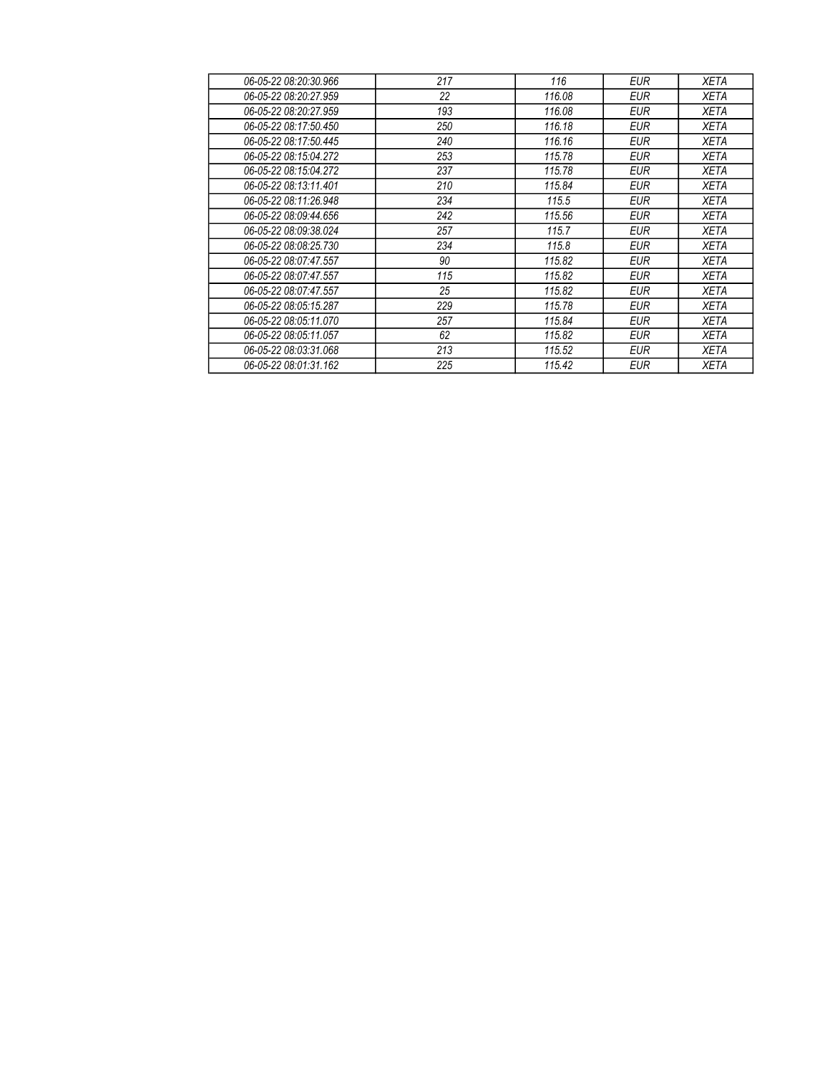| 06-05-22 08:20:30.966 | 217 | 116    | <b>EUR</b> | <b>XETA</b> |
|-----------------------|-----|--------|------------|-------------|
| 06-05-22 08:20:27.959 | 22  | 116.08 | <b>EUR</b> | <b>XETA</b> |
| 06-05-22 08:20:27.959 | 193 | 116.08 | <b>EUR</b> | <b>XETA</b> |
| 06-05-22 08:17:50.450 | 250 | 116.18 | <b>EUR</b> | <b>XETA</b> |
| 06-05-22 08:17:50.445 | 240 | 116.16 | <b>EUR</b> | <b>XETA</b> |
| 06-05-22 08:15:04.272 | 253 | 115.78 | <b>EUR</b> | <b>XETA</b> |
| 06-05-22 08:15:04.272 | 237 | 115.78 | <b>EUR</b> | <b>XETA</b> |
| 06-05-22 08:13:11.401 | 210 | 115.84 | <b>EUR</b> | <b>XETA</b> |
| 06-05-22 08:11:26.948 | 234 | 115.5  | <b>EUR</b> | <b>XETA</b> |
| 06-05-22 08:09:44.656 | 242 | 115.56 | <b>EUR</b> | <b>XETA</b> |
| 06-05-22 08:09:38.024 | 257 | 115.7  | <b>EUR</b> | <b>XETA</b> |
| 06-05-22 08:08:25.730 | 234 | 115.8  | <b>EUR</b> | <b>XETA</b> |
| 06-05-22 08:07:47.557 | 90  | 115.82 | EUR        | <b>XETA</b> |
| 06-05-22 08:07:47.557 | 115 | 115.82 | <b>EUR</b> | <b>XETA</b> |
| 06-05-22 08:07:47.557 | 25  | 115.82 | <b>EUR</b> | <b>XETA</b> |
| 06-05-22 08:05:15.287 | 229 | 115.78 | EUR        | <b>XETA</b> |
| 06-05-22 08:05:11.070 | 257 | 115.84 | <b>EUR</b> | <b>XETA</b> |
| 06-05-22 08:05:11.057 | 62  | 115.82 | <b>EUR</b> | <b>XETA</b> |
| 06-05-22 08:03:31.068 | 213 | 115.52 | <b>EUR</b> | <b>XETA</b> |
| 06-05-22 08:01:31.162 | 225 | 115.42 | <b>EUR</b> | <b>XETA</b> |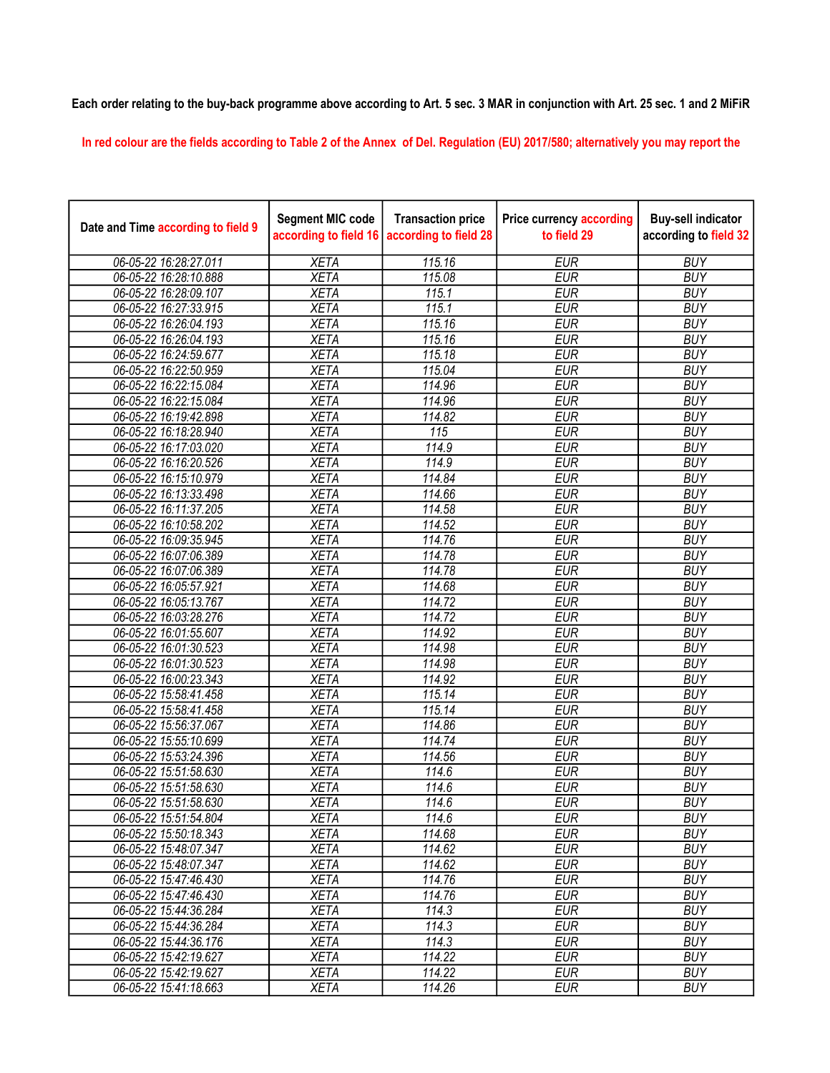## Each order relating to the buy-back programme above according to Art. 5 sec. 3 MAR in conjunction with Art. 25 sec. 1 and 2 MiFiR

In red colour are the fields according to Table 2 of the Annex of Del. Regulation (EU) 2017/580; alternatively you may report the

| Date and Time according to field 9 | <b>Segment MIC code</b><br>according to field 16 | <b>Transaction price</b><br>according to field 28 | <b>Price currency according</b><br>to field 29 | <b>Buy-sell indicator</b><br>according to field 32 |
|------------------------------------|--------------------------------------------------|---------------------------------------------------|------------------------------------------------|----------------------------------------------------|
| 06-05-22 16:28:27.011              | <b>XETA</b>                                      | 115.16                                            | <b>EUR</b>                                     | <b>BUY</b>                                         |
| 06-05-22 16:28:10.888              | <b>XETA</b>                                      | 115.08                                            | <b>EUR</b>                                     | <b>BUY</b>                                         |
| 06-05-22 16:28:09.107              | <b>XETA</b>                                      | 115.1                                             | <b>EUR</b>                                     | <b>BUY</b>                                         |
| 06-05-22 16:27:33.915              | <b>XETA</b>                                      | 115.1                                             | <b>EUR</b>                                     | <b>BUY</b>                                         |
| 06-05-22 16:26:04.193              | <b>XETA</b>                                      | 115.16                                            | <b>EUR</b>                                     | <b>BUY</b>                                         |
| 06-05-22 16:26:04.193              | <b>XETA</b>                                      | 115.16                                            | <b>EUR</b>                                     | <b>BUY</b>                                         |
| 06-05-22 16:24:59.677              | <b>XETA</b>                                      | 115.18                                            | <b>EUR</b>                                     | <b>BUY</b>                                         |
| 06-05-22 16:22:50.959              | <b>XETA</b>                                      | 115.04                                            | <b>EUR</b>                                     | <b>BUY</b>                                         |
| 06-05-22 16:22:15.084              | <b>XETA</b>                                      | 114.96                                            | <b>EUR</b>                                     | <b>BUY</b>                                         |
| 06-05-22 16:22:15.084              | <b>XETA</b>                                      | 114.96                                            | <b>EUR</b>                                     | <b>BUY</b>                                         |
| 06-05-22 16:19:42.898              | <b>XETA</b>                                      | 114.82                                            | <b>EUR</b>                                     | <b>BUY</b>                                         |
| 06-05-22 16:18:28.940              | <b>XETA</b>                                      | $\overline{115}$                                  | <b>EUR</b>                                     | <b>BUY</b>                                         |
| 06-05-22 16:17:03.020              | <b>XETA</b>                                      | 114.9                                             | <b>EUR</b>                                     | <b>BUY</b>                                         |
| 06-05-22 16:16:20.526              | <b>XETA</b>                                      | 114.9                                             | <b>EUR</b>                                     | <b>BUY</b>                                         |
| 06-05-22 16:15:10.979              | <b>XETA</b>                                      | 114.84                                            | <b>EUR</b>                                     | <b>BUY</b>                                         |
| 06-05-22 16:13:33.498              | <b>XETA</b>                                      | 114.66                                            | <b>EUR</b>                                     | <b>BUY</b>                                         |
| 06-05-22 16:11:37.205              | <b>XETA</b>                                      | 114.58                                            | <b>EUR</b>                                     | <b>BUY</b>                                         |
| 06-05-22 16:10:58.202              | <b>XETA</b>                                      | 114.52                                            | <b>EUR</b>                                     | <b>BUY</b>                                         |
| 06-05-22 16:09:35.945              | <b>XETA</b>                                      | 114.76                                            | <b>EUR</b>                                     | <b>BUY</b>                                         |
| 06-05-22 16:07:06.389              | <b>XETA</b>                                      | 114.78                                            | <b>EUR</b>                                     | <b>BUY</b>                                         |
| 06-05-22 16:07:06.389              | <b>XETA</b>                                      | 114.78                                            | <b>EUR</b>                                     | <b>BUY</b>                                         |
| 06-05-22 16:05:57.921              | <b>XETA</b>                                      | 114.68                                            | <b>EUR</b>                                     | <b>BUY</b>                                         |
| 06-05-22 16:05:13.767              | <b>XETA</b>                                      | 114.72                                            | <b>EUR</b>                                     | <b>BUY</b>                                         |
| 06-05-22 16:03:28.276              | <b>XETA</b>                                      | 114.72                                            | <b>EUR</b>                                     | <b>BUY</b>                                         |
| 06-05-22 16:01:55.607              | <b>XETA</b>                                      | 114.92                                            | <b>EUR</b>                                     | <b>BUY</b>                                         |
| 06-05-22 16:01:30.523              | <b>XETA</b>                                      | 114.98                                            | <b>EUR</b>                                     | <b>BUY</b>                                         |
| 06-05-22 16:01:30.523              | <b>XETA</b>                                      | 114.98                                            | <b>EUR</b>                                     | <b>BUY</b>                                         |
| 06-05-22 16:00:23.343              | <b>XETA</b>                                      | 114.92                                            | <b>EUR</b>                                     | <b>BUY</b>                                         |
| 06-05-22 15:58:41.458              | <b>XETA</b>                                      | 115.14                                            | <b>EUR</b>                                     | <b>BUY</b>                                         |
| 06-05-22 15:58:41.458              | <b>XETA</b>                                      | 115.14                                            | <b>EUR</b>                                     | <b>BUY</b>                                         |
| 06-05-22 15:56:37.067              | <b>XETA</b>                                      | 114.86                                            | <b>EUR</b>                                     | <b>BUY</b>                                         |
| 06-05-22 15:55:10.699              | <b>XETA</b>                                      | 114.74                                            | <b>EUR</b>                                     | <b>BUY</b>                                         |
| 06-05-22 15:53:24.396              | <b>XETA</b>                                      | 114.56                                            | <b>EUR</b>                                     | <b>BUY</b>                                         |
| 06-05-22 15:51:58.630              | <b>XETA</b>                                      | 114.6                                             | <b>EUR</b>                                     | <b>BUY</b>                                         |
| 06-05-22 15:51:58.630              | <b>XETA</b>                                      | 114.6                                             | <b>EUR</b>                                     | <b>BUY</b>                                         |
| 06-05-22 15:51:58.630              | <b>XETA</b>                                      | 114.6                                             | <b>EUR</b>                                     | <b>BUY</b>                                         |
| 06-05-22 15:51:54.804              | <b>XETA</b>                                      | 114.6                                             | <b>EUR</b>                                     | <b>BUY</b>                                         |
| 06-05-22 15:50:18.343              | <b>XETA</b>                                      | 114.68                                            | <b>EUR</b>                                     | <b>BUY</b>                                         |
| 06-05-22 15:48:07.347              | <b>XETA</b>                                      | 114.62                                            | <b>EUR</b>                                     | <b>BUY</b>                                         |
| 06-05-22 15:48:07.347              | <b>XETA</b>                                      | 114.62                                            | <b>EUR</b>                                     | <b>BUY</b>                                         |
| 06-05-22 15:47:46.430              | <b>XETA</b>                                      | 114.76                                            | <b>EUR</b>                                     | <b>BUY</b>                                         |
| 06-05-22 15:47:46.430              | <b>XETA</b>                                      | 114.76                                            | <b>EUR</b>                                     | <b>BUY</b>                                         |
| 06-05-22 15:44:36.284              | <b>XETA</b>                                      | 114.3                                             | <b>EUR</b>                                     | <b>BUY</b>                                         |
| 06-05-22 15:44:36.284              | <b>XETA</b>                                      | 114.3                                             | <b>EUR</b>                                     | <b>BUY</b>                                         |
| 06-05-22 15:44:36.176              | <b>XETA</b>                                      | $\overline{114.3}$                                | <b>EUR</b>                                     | <b>BUY</b>                                         |
| 06-05-22 15:42:19.627              | <b>XETA</b>                                      | 114.22                                            | <b>EUR</b>                                     | <b>BUY</b>                                         |
| 06-05-22 15:42:19.627              | <b>XETA</b>                                      | 114.22                                            | <b>EUR</b>                                     | <b>BUY</b>                                         |
| 06-05-22 15:41:18.663              | <b>XETA</b>                                      | 114.26                                            | <b>EUR</b>                                     | <b>BUY</b>                                         |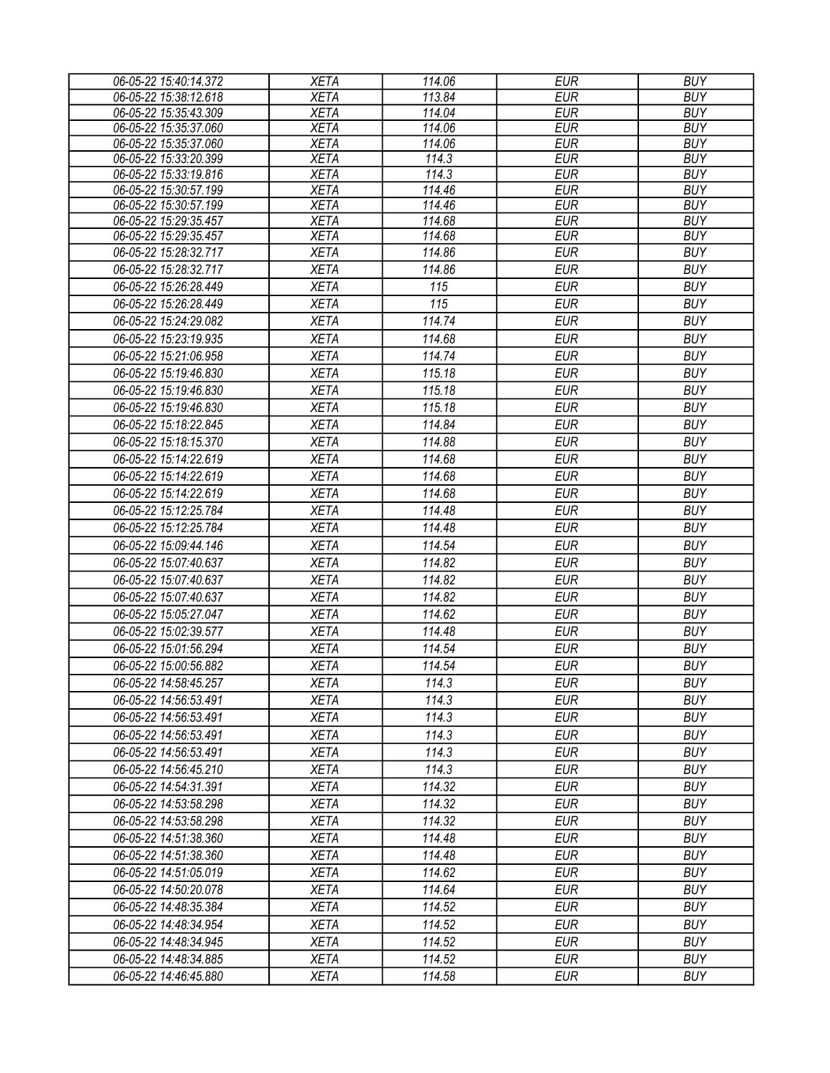| 06-05-22 15:40:14.372 | <b>XETA</b> | 114.06 | <b>EUR</b> | <b>BUY</b> |
|-----------------------|-------------|--------|------------|------------|
| 06-05-22 15:38:12.618 | <b>XETA</b> | 113.84 | <b>EUR</b> | <b>BUY</b> |
| 06-05-22 15:35:43.309 | <b>XETA</b> | 114.04 | <b>EUR</b> | <b>BUY</b> |
| 06-05-22 15:35:37.060 | <b>XETA</b> | 114.06 | <b>EUR</b> | <b>BUY</b> |
| 06-05-22 15:35:37.060 | <b>XETA</b> | 114.06 | <b>EUR</b> | <b>BUY</b> |
| 06-05-22 15:33:20.399 | <b>XETA</b> | 114.3  | <b>EUR</b> | <b>BUY</b> |
| 06-05-22 15:33:19.816 | <b>XETA</b> | 114.3  | <b>EUR</b> | <b>BUY</b> |
| 06-05-22 15:30:57.199 | <b>XETA</b> | 114.46 | <b>EUR</b> | <b>BUY</b> |
| 06-05-22 15:30:57.199 | <b>XETA</b> | 114.46 | <b>EUR</b> | <b>BUY</b> |
| 06-05-22 15:29:35.457 | <b>XETA</b> | 114.68 | <b>EUR</b> | <b>BUY</b> |
| 06-05-22 15:29:35.457 | <b>XETA</b> | 114.68 | <b>EUR</b> | <b>BUY</b> |
| 06-05-22 15:28:32.717 | <b>XETA</b> | 114.86 | <b>EUR</b> | <b>BUY</b> |
| 06-05-22 15:28:32.717 | <b>XETA</b> | 114.86 | <b>EUR</b> | <b>BUY</b> |
| 06-05-22 15:26:28.449 | <b>XETA</b> | 115    | <b>EUR</b> | <b>BUY</b> |
| 06-05-22 15:26:28.449 | <b>XETA</b> | 115    | <b>EUR</b> | <b>BUY</b> |
| 06-05-22 15:24:29.082 | <b>XETA</b> | 114.74 | <b>EUR</b> | <b>BUY</b> |
| 06-05-22 15:23:19.935 | <b>XETA</b> | 114.68 | <b>EUR</b> | <b>BUY</b> |
| 06-05-22 15:21:06.958 | <b>XETA</b> | 114.74 | <b>EUR</b> | <b>BUY</b> |
| 06-05-22 15:19:46.830 | <b>XETA</b> | 115.18 | <b>EUR</b> | <b>BUY</b> |
| 06-05-22 15:19:46.830 | <b>XETA</b> | 115.18 | <b>EUR</b> | <b>BUY</b> |
| 06-05-22 15:19:46.830 | <b>XETA</b> | 115.18 | <b>EUR</b> | <b>BUY</b> |
| 06-05-22 15:18:22.845 | <b>XETA</b> | 114.84 | <b>EUR</b> | <b>BUY</b> |
| 06-05-22 15:18:15.370 | <b>XETA</b> | 114.88 | <b>EUR</b> | <b>BUY</b> |
| 06-05-22 15:14:22.619 | <b>XETA</b> | 114.68 | <b>EUR</b> | <b>BUY</b> |
| 06-05-22 15:14:22.619 |             | 114.68 | <b>EUR</b> | <b>BUY</b> |
|                       | <b>XETA</b> |        |            |            |
| 06-05-22 15:14:22.619 | <b>XETA</b> | 114.68 | <b>EUR</b> | <b>BUY</b> |
| 06-05-22 15:12:25.784 | <b>XETA</b> | 114.48 | <b>EUR</b> | <b>BUY</b> |
| 06-05-22 15:12:25.784 | <b>XETA</b> | 114.48 | <b>EUR</b> | <b>BUY</b> |
| 06-05-22 15:09:44.146 | <b>XETA</b> | 114.54 | <b>EUR</b> | <b>BUY</b> |
| 06-05-22 15:07:40.637 | <b>XETA</b> | 114.82 | <b>EUR</b> | <b>BUY</b> |
| 06-05-22 15:07:40.637 | <b>XETA</b> | 114.82 | <b>EUR</b> | <b>BUY</b> |
| 06-05-22 15:07:40.637 | <b>XETA</b> | 114.82 | <b>EUR</b> | <b>BUY</b> |
| 06-05-22 15:05:27.047 | <b>XETA</b> | 114.62 | <b>EUR</b> | <b>BUY</b> |
| 06-05-22 15:02:39.577 | <b>XETA</b> | 114.48 | <b>EUR</b> | <b>BUY</b> |
| 06-05-22 15:01:56.294 | <b>XETA</b> | 114.54 | <b>EUR</b> | <b>BUY</b> |
| 06-05-22 15:00:56.882 | <b>XETA</b> | 114.54 | <b>EUR</b> | <b>BUY</b> |
| 06-05-22 14:58:45.257 | <b>XETA</b> | 114.3  | <b>EUR</b> | <b>BUY</b> |
| 06-05-22 14:56:53.491 | <b>XETA</b> | 114.3  | <b>EUR</b> | <b>BUY</b> |
| 06-05-22 14:56:53.491 | <b>XETA</b> | 114.3  | <b>EUR</b> | <b>BUY</b> |
| 06-05-22 14:56:53.491 | <b>XETA</b> | 114.3  | <b>EUR</b> | <b>BUY</b> |
| 06-05-22 14:56:53.491 | <b>XETA</b> | 114.3  | <b>EUR</b> | <b>BUY</b> |
|                       |             | 114.3  |            | <b>BUY</b> |
| 06-05-22 14:56:45.210 | <b>XETA</b> |        | <b>EUR</b> |            |
| 06-05-22 14:54:31.391 | <b>XETA</b> | 114.32 | <b>EUR</b> | <b>BUY</b> |
| 06-05-22 14:53:58.298 | <b>XETA</b> | 114.32 | <b>EUR</b> | <b>BUY</b> |
| 06-05-22 14:53:58.298 | <b>XETA</b> | 114.32 | <b>EUR</b> | <b>BUY</b> |
| 06-05-22 14:51:38.360 | <b>XETA</b> | 114.48 | <b>EUR</b> | <b>BUY</b> |
| 06-05-22 14:51:38.360 | <b>XETA</b> | 114.48 | EUR        | <b>BUY</b> |
| 06-05-22 14:51:05.019 | <b>XETA</b> | 114.62 | <b>EUR</b> | <b>BUY</b> |
| 06-05-22 14:50:20.078 | <b>XETA</b> | 114.64 | <b>EUR</b> | <b>BUY</b> |
| 06-05-22 14:48:35.384 | <b>XETA</b> | 114.52 | <b>EUR</b> | <b>BUY</b> |
| 06-05-22 14:48:34.954 | <b>XETA</b> | 114.52 | <b>EUR</b> | <b>BUY</b> |
| 06-05-22 14:48:34.945 | <b>XETA</b> | 114.52 | <b>EUR</b> | <b>BUY</b> |
| 06-05-22 14:48:34.885 | <b>XETA</b> | 114.52 | <b>EUR</b> | <b>BUY</b> |
| 06-05-22 14:46:45.880 | <b>XETA</b> | 114.58 | <b>EUR</b> | <b>BUY</b> |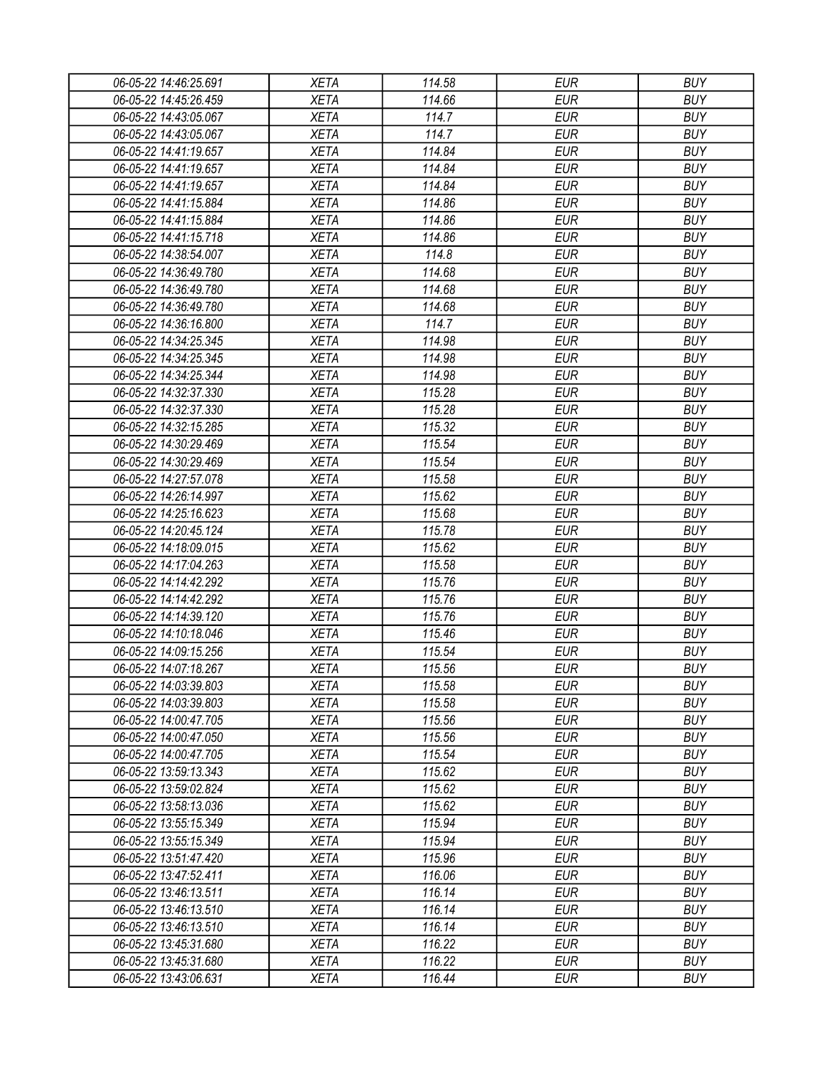| 06-05-22 14:46:25.691 | XETA        | 114.58 | <b>EUR</b> | <b>BUY</b> |
|-----------------------|-------------|--------|------------|------------|
| 06-05-22 14:45:26.459 | <b>XETA</b> | 114.66 | <b>EUR</b> | <b>BUY</b> |
| 06-05-22 14:43:05.067 | <b>XETA</b> | 114.7  | <b>EUR</b> | <b>BUY</b> |
| 06-05-22 14:43:05.067 | <b>XETA</b> | 114.7  | <b>EUR</b> | <b>BUY</b> |
| 06-05-22 14:41:19.657 | <b>XETA</b> | 114.84 | <b>EUR</b> | <b>BUY</b> |
| 06-05-22 14:41:19.657 | <b>XETA</b> | 114.84 | <b>EUR</b> | <b>BUY</b> |
| 06-05-22 14:41:19.657 | <b>XETA</b> | 114.84 | <b>EUR</b> | <b>BUY</b> |
| 06-05-22 14:41:15.884 | <b>XETA</b> | 114.86 | <b>EUR</b> | <b>BUY</b> |
| 06-05-22 14:41:15.884 | <b>XETA</b> | 114.86 | <b>EUR</b> | <b>BUY</b> |
| 06-05-22 14:41:15.718 | <b>XETA</b> | 114.86 | <b>EUR</b> | <b>BUY</b> |
| 06-05-22 14:38:54.007 | <b>XETA</b> | 114.8  | <b>EUR</b> | <b>BUY</b> |
| 06-05-22 14:36:49.780 | <b>XETA</b> | 114.68 | <b>EUR</b> | <b>BUY</b> |
| 06-05-22 14:36:49.780 | <b>XETA</b> | 114.68 | <b>EUR</b> | <b>BUY</b> |
| 06-05-22 14:36:49.780 | <b>XETA</b> | 114.68 | <b>EUR</b> | <b>BUY</b> |
| 06-05-22 14:36:16.800 | <b>XETA</b> | 114.7  | <b>EUR</b> | <b>BUY</b> |
| 06-05-22 14:34:25.345 | <b>XETA</b> | 114.98 | <b>EUR</b> | <b>BUY</b> |
| 06-05-22 14:34:25.345 | <b>XETA</b> | 114.98 | <b>EUR</b> | <b>BUY</b> |
| 06-05-22 14:34:25.344 | <b>XETA</b> | 114.98 | <b>EUR</b> | <b>BUY</b> |
| 06-05-22 14:32:37.330 | <b>XETA</b> | 115.28 | <b>EUR</b> | <b>BUY</b> |
| 06-05-22 14:32:37.330 | <b>XETA</b> | 115.28 | <b>EUR</b> | <b>BUY</b> |
| 06-05-22 14:32:15.285 | <b>XETA</b> | 115.32 | <b>EUR</b> | <b>BUY</b> |
| 06-05-22 14:30:29.469 | <b>XETA</b> | 115.54 | <b>EUR</b> | <b>BUY</b> |
| 06-05-22 14:30:29.469 | <b>XETA</b> | 115.54 | <b>EUR</b> | <b>BUY</b> |
| 06-05-22 14:27:57.078 | <b>XETA</b> | 115.58 | <b>EUR</b> | <b>BUY</b> |
| 06-05-22 14:26:14.997 | <b>XETA</b> | 115.62 | <b>EUR</b> | <b>BUY</b> |
| 06-05-22 14:25:16.623 | <b>XETA</b> | 115.68 | EUR        | <b>BUY</b> |
| 06-05-22 14:20:45.124 | <b>XETA</b> | 115.78 | <b>EUR</b> | <b>BUY</b> |
| 06-05-22 14:18:09.015 | <b>XETA</b> | 115.62 | <b>EUR</b> | <b>BUY</b> |
| 06-05-22 14:17:04.263 | <b>XETA</b> | 115.58 | <b>EUR</b> | <b>BUY</b> |
| 06-05-22 14:14:42.292 | <b>XETA</b> | 115.76 | <b>EUR</b> | <b>BUY</b> |
| 06-05-22 14:14:42.292 | <b>XETA</b> | 115.76 | <b>EUR</b> | <b>BUY</b> |
| 06-05-22 14:14:39.120 | <b>XETA</b> | 115.76 | <b>EUR</b> | <b>BUY</b> |
| 06-05-22 14:10:18.046 | <b>XETA</b> | 115.46 | <b>EUR</b> | <b>BUY</b> |
| 06-05-22 14:09:15.256 | <b>XETA</b> | 115.54 | <b>EUR</b> | <b>BUY</b> |
| 06-05-22 14:07:18.267 | <b>XETA</b> | 115.56 | <b>EUR</b> | <b>BUY</b> |
| 06-05-22 14:03:39.803 | <b>XETA</b> | 115.58 | <b>EUR</b> | <b>BUY</b> |
| 06-05-22 14:03:39.803 | <b>XETA</b> | 115.58 | <b>EUR</b> | <b>BUY</b> |
| 06-05-22 14:00:47.705 | <b>XETA</b> | 115.56 | <b>EUR</b> | <b>BUY</b> |
| 06-05-22 14:00:47.050 | <b>XETA</b> | 115.56 | <b>EUR</b> | <b>BUY</b> |
| 06-05-22 14:00:47.705 | <b>XETA</b> | 115.54 | <b>EUR</b> | <b>BUY</b> |
| 06-05-22 13:59:13.343 | <b>XETA</b> | 115.62 | <b>EUR</b> | <b>BUY</b> |
| 06-05-22 13:59:02.824 | <b>XETA</b> | 115.62 | <b>EUR</b> | <b>BUY</b> |
| 06-05-22 13:58:13.036 | <b>XETA</b> | 115.62 | <b>EUR</b> | <b>BUY</b> |
| 06-05-22 13:55:15.349 | <b>XETA</b> | 115.94 | <b>EUR</b> | <b>BUY</b> |
| 06-05-22 13:55:15.349 | <b>XETA</b> | 115.94 | <b>EUR</b> | <b>BUY</b> |
| 06-05-22 13:51:47.420 | <b>XETA</b> | 115.96 | <b>EUR</b> | <b>BUY</b> |
| 06-05-22 13:47:52.411 | <b>XETA</b> | 116.06 | <b>EUR</b> | <b>BUY</b> |
| 06-05-22 13:46:13.511 | <b>XETA</b> | 116.14 | <b>EUR</b> | <b>BUY</b> |
| 06-05-22 13:46:13.510 | <b>XETA</b> | 116.14 | <b>EUR</b> | <b>BUY</b> |
| 06-05-22 13:46:13.510 | <b>XETA</b> | 116.14 | <b>EUR</b> | <b>BUY</b> |
| 06-05-22 13:45:31.680 | <b>XETA</b> | 116.22 | EUR        | <b>BUY</b> |
| 06-05-22 13:45:31.680 | <b>XETA</b> | 116.22 | <b>EUR</b> | <b>BUY</b> |
| 06-05-22 13:43:06.631 | <b>XETA</b> | 116.44 | <b>EUR</b> | <b>BUY</b> |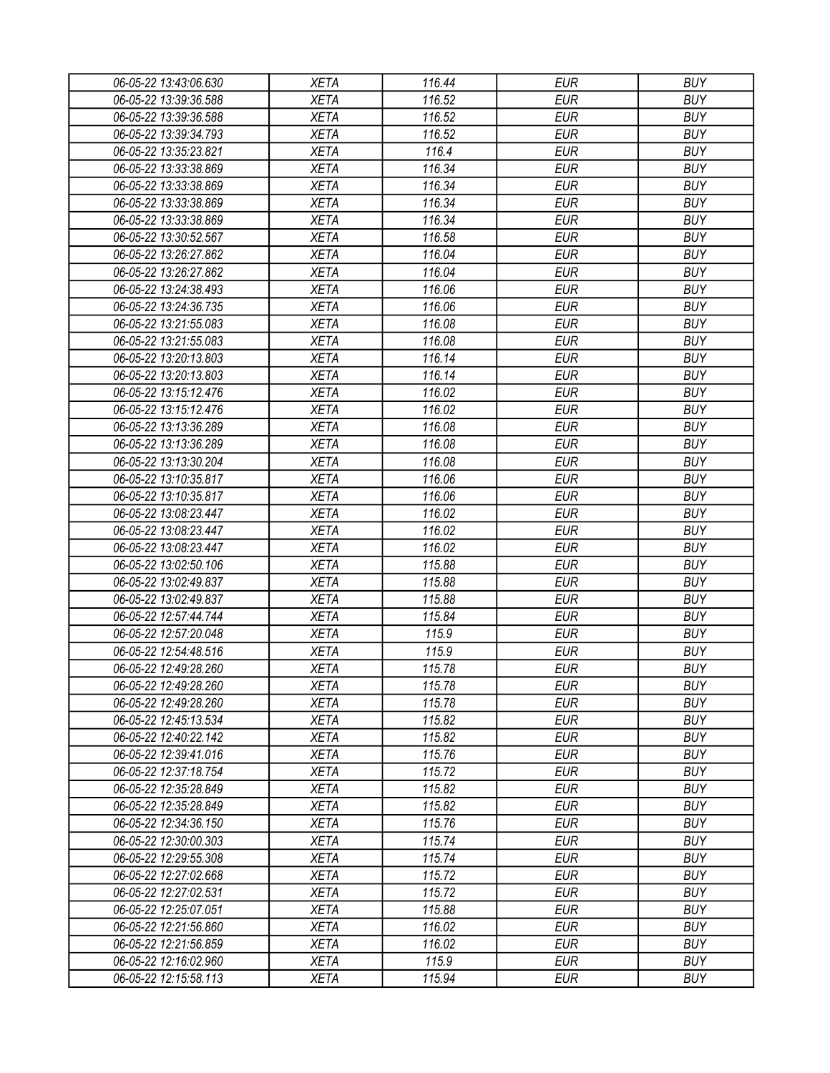| 06-05-22 13:43:06.630 | <b>XETA</b> | 116.44 | <b>EUR</b> | <b>BUY</b>               |
|-----------------------|-------------|--------|------------|--------------------------|
| 06-05-22 13:39:36.588 | <b>XETA</b> | 116.52 | <b>EUR</b> | <b>BUY</b>               |
| 06-05-22 13:39:36.588 | <b>XETA</b> | 116.52 | <b>EUR</b> | <b>BUY</b>               |
| 06-05-22 13:39:34.793 | <b>XETA</b> | 116.52 | <b>EUR</b> | <b>BUY</b>               |
| 06-05-22 13:35:23.821 | <b>XETA</b> | 116.4  | <b>EUR</b> | <b>BUY</b>               |
| 06-05-22 13:33:38.869 | <b>XETA</b> | 116.34 | <b>EUR</b> | <b>BUY</b>               |
| 06-05-22 13:33:38.869 | <b>XETA</b> | 116.34 | <b>EUR</b> | <b>BUY</b>               |
| 06-05-22 13:33:38.869 | <b>XETA</b> | 116.34 | <b>EUR</b> | <b>BUY</b>               |
| 06-05-22 13:33:38.869 | <b>XETA</b> | 116.34 | <b>EUR</b> | <b>BUY</b>               |
| 06-05-22 13:30:52.567 | <b>XETA</b> | 116.58 | <b>EUR</b> | <b>BUY</b>               |
| 06-05-22 13:26:27.862 | <b>XETA</b> | 116.04 | <b>EUR</b> | <b>BUY</b>               |
| 06-05-22 13:26:27.862 | <b>XETA</b> | 116.04 | <b>EUR</b> | <b>BUY</b>               |
| 06-05-22 13:24:38.493 | <b>XETA</b> | 116.06 | <b>EUR</b> | <b>BUY</b>               |
| 06-05-22 13:24:36.735 | <b>XETA</b> | 116.06 | <b>EUR</b> | <b>BUY</b>               |
| 06-05-22 13:21:55.083 | <b>XETA</b> | 116.08 | <b>EUR</b> | <b>BUY</b>               |
| 06-05-22 13:21:55.083 | <b>XETA</b> | 116.08 | <b>EUR</b> | <b>BUY</b>               |
| 06-05-22 13:20:13.803 | <b>XETA</b> | 116.14 | <b>EUR</b> | <b>BUY</b>               |
| 06-05-22 13:20:13.803 | <b>XETA</b> | 116.14 | <b>EUR</b> | <b>BUY</b>               |
| 06-05-22 13:15:12.476 | <b>XETA</b> | 116.02 | <b>EUR</b> | <b>BUY</b>               |
| 06-05-22 13:15:12.476 | <b>XETA</b> | 116.02 | <b>EUR</b> | <b>BUY</b>               |
| 06-05-22 13:13:36.289 | <b>XETA</b> | 116.08 | <b>EUR</b> | <b>BUY</b>               |
| 06-05-22 13:13:36.289 | <b>XETA</b> | 116.08 | <b>EUR</b> | <b>BUY</b>               |
| 06-05-22 13:13:30.204 | <b>XETA</b> | 116.08 | <b>EUR</b> | <b>BUY</b>               |
| 06-05-22 13:10:35.817 | <b>XETA</b> | 116.06 | <b>EUR</b> | <b>BUY</b>               |
| 06-05-22 13:10:35.817 | <b>XETA</b> | 116.06 | <b>EUR</b> | <b>BUY</b>               |
| 06-05-22 13:08:23.447 | <b>XETA</b> | 116.02 | <b>EUR</b> | <b>BUY</b>               |
| 06-05-22 13:08:23.447 | <b>XETA</b> | 116.02 | <b>EUR</b> | <b>BUY</b>               |
| 06-05-22 13:08:23.447 | <b>XETA</b> | 116.02 | <b>EUR</b> | <b>BUY</b>               |
| 06-05-22 13:02:50.106 | <b>XETA</b> | 115.88 | <b>EUR</b> | <b>BUY</b>               |
| 06-05-22 13:02:49.837 | <b>XETA</b> | 115.88 | <b>EUR</b> | <b>BUY</b>               |
| 06-05-22 13:02:49.837 | <b>XETA</b> | 115.88 | <b>EUR</b> | <b>BUY</b>               |
| 06-05-22 12:57:44.744 | <b>XETA</b> | 115.84 | <b>EUR</b> | <b>BUY</b>               |
| 06-05-22 12:57:20.048 | <b>XETA</b> | 115.9  | <b>EUR</b> | <b>BUY</b>               |
|                       |             | 115.9  | <b>EUR</b> | <b>BUY</b>               |
| 06-05-22 12:54:48.516 | <b>XETA</b> | 115.78 | <b>EUR</b> |                          |
| 06-05-22 12:49:28.260 | <b>XETA</b> |        |            | <b>BUY</b>               |
| 06-05-22 12:49:28.260 | <b>XETA</b> | 115.78 | <b>EUR</b> | <b>BUY</b>               |
| 06-05-22 12:49:28.260 | <b>XETA</b> | 115.78 | <b>EUR</b> | <b>BUY</b>               |
| 06-05-22 12:45:13.534 | <b>XETA</b> | 115.82 | <b>EUR</b> | <b>BUY</b>               |
| 06-05-22 12:40:22.142 | <b>XETA</b> | 115.82 | <b>EUR</b> | <b>BUY</b><br><b>BUY</b> |
| 06-05-22 12:39:41.016 | <b>XETA</b> | 115.76 | <b>EUR</b> |                          |
| 06-05-22 12:37:18.754 | <b>XETA</b> | 115.72 | <b>EUR</b> | <b>BUY</b>               |
| 06-05-22 12:35:28.849 | <b>XETA</b> | 115.82 | <b>EUR</b> | <b>BUY</b>               |
| 06-05-22 12:35:28.849 | <b>XETA</b> | 115.82 | <b>EUR</b> | <b>BUY</b>               |
| 06-05-22 12:34:36.150 | <b>XETA</b> | 115.76 | <b>EUR</b> | <b>BUY</b>               |
| 06-05-22 12:30:00.303 | <b>XETA</b> | 115.74 | <b>EUR</b> | <b>BUY</b>               |
| 06-05-22 12:29:55.308 | <b>XETA</b> | 115.74 | <b>EUR</b> | <b>BUY</b>               |
| 06-05-22 12:27:02.668 | <b>XETA</b> | 115.72 | <b>EUR</b> | <b>BUY</b>               |
| 06-05-22 12:27:02.531 | <b>XETA</b> | 115.72 | <b>EUR</b> | <b>BUY</b>               |
| 06-05-22 12:25:07.051 | <b>XETA</b> | 115.88 | <b>EUR</b> | <b>BUY</b>               |
| 06-05-22 12:21:56.860 | <b>XETA</b> | 116.02 | <b>EUR</b> | <b>BUY</b>               |
| 06-05-22 12:21:56.859 | <b>XETA</b> | 116.02 | EUR        | <b>BUY</b>               |
| 06-05-22 12:16:02.960 | <b>XETA</b> | 115.9  | <b>EUR</b> | <b>BUY</b>               |
| 06-05-22 12:15:58.113 | <b>XETA</b> | 115.94 | <b>EUR</b> | <b>BUY</b>               |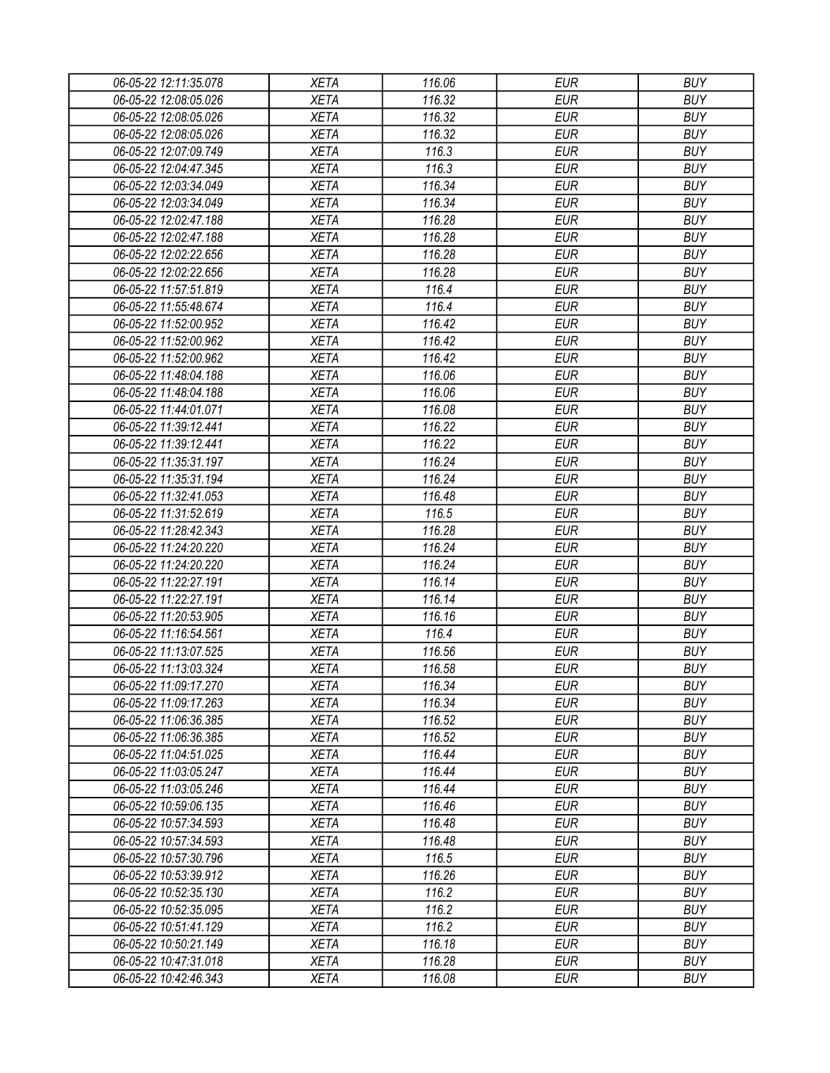| 06-05-22 12:11:35.078 | <b>XETA</b> | 116.06 | <b>EUR</b> | <b>BUY</b> |
|-----------------------|-------------|--------|------------|------------|
| 06-05-22 12:08:05.026 | <b>XETA</b> | 116.32 | <b>EUR</b> | <b>BUY</b> |
| 06-05-22 12:08:05.026 | <b>XETA</b> | 116.32 | <b>EUR</b> | <b>BUY</b> |
| 06-05-22 12:08:05.026 | <b>XETA</b> | 116.32 | <b>EUR</b> | <b>BUY</b> |
| 06-05-22 12:07:09.749 | <b>XETA</b> | 116.3  | <b>EUR</b> | <b>BUY</b> |
| 06-05-22 12:04:47.345 | <b>XETA</b> | 116.3  | <b>EUR</b> | <b>BUY</b> |
| 06-05-22 12:03:34.049 | <b>XETA</b> | 116.34 | <b>EUR</b> | <b>BUY</b> |
| 06-05-22 12:03:34.049 | <b>XETA</b> | 116.34 | <b>EUR</b> | <b>BUY</b> |
| 06-05-22 12:02:47.188 | <b>XETA</b> | 116.28 | <b>EUR</b> | <b>BUY</b> |
| 06-05-22 12:02:47.188 | <b>XETA</b> | 116.28 | <b>EUR</b> | <b>BUY</b> |
| 06-05-22 12:02:22.656 | <b>XETA</b> | 116.28 | <b>EUR</b> | <b>BUY</b> |
| 06-05-22 12:02:22.656 | <b>XETA</b> | 116.28 | <b>EUR</b> | <b>BUY</b> |
| 06-05-22 11:57:51.819 | <b>XETA</b> | 116.4  | <b>EUR</b> | <b>BUY</b> |
| 06-05-22 11:55:48.674 | <b>XETA</b> | 116.4  | <b>EUR</b> | <b>BUY</b> |
| 06-05-22 11:52:00.952 | <b>XETA</b> | 116.42 | <b>EUR</b> | <b>BUY</b> |
| 06-05-22 11:52:00.962 | <b>XETA</b> | 116.42 | <b>EUR</b> | <b>BUY</b> |
| 06-05-22 11:52:00.962 | <b>XETA</b> | 116.42 | <b>EUR</b> | <b>BUY</b> |
| 06-05-22 11:48:04.188 | <b>XETA</b> | 116.06 | <b>EUR</b> | <b>BUY</b> |
| 06-05-22 11:48:04.188 | <b>XETA</b> | 116.06 | <b>EUR</b> | <b>BUY</b> |
| 06-05-22 11:44:01.071 | <b>XETA</b> | 116.08 | <b>EUR</b> | <b>BUY</b> |
| 06-05-22 11:39:12.441 | <b>XETA</b> | 116.22 | <b>EUR</b> | <b>BUY</b> |
| 06-05-22 11:39:12.441 | <b>XETA</b> | 116.22 | <b>EUR</b> | <b>BUY</b> |
| 06-05-22 11:35:31.197 | <b>XETA</b> | 116.24 | <b>EUR</b> | <b>BUY</b> |
| 06-05-22 11:35:31.194 | <b>XETA</b> | 116.24 | <b>EUR</b> | <b>BUY</b> |
| 06-05-22 11:32:41.053 | <b>XETA</b> | 116.48 | <b>EUR</b> | <b>BUY</b> |
| 06-05-22 11:31:52.619 | <b>XETA</b> | 116.5  | <b>EUR</b> | <b>BUY</b> |
| 06-05-22 11:28:42.343 | <b>XETA</b> | 116.28 | <b>EUR</b> | <b>BUY</b> |
| 06-05-22 11:24:20.220 | <b>XETA</b> | 116.24 | <b>EUR</b> | <b>BUY</b> |
| 06-05-22 11:24:20.220 | <b>XETA</b> | 116.24 | <b>EUR</b> | <b>BUY</b> |
| 06-05-22 11:22:27.191 | <b>XETA</b> | 116.14 | <b>EUR</b> | <b>BUY</b> |
| 06-05-22 11:22:27.191 | <b>XETA</b> | 116.14 | <b>EUR</b> | <b>BUY</b> |
| 06-05-22 11:20:53.905 | <b>XETA</b> | 116.16 | <b>EUR</b> | <b>BUY</b> |
| 06-05-22 11:16:54.561 | <b>XETA</b> | 116.4  | <b>EUR</b> | <b>BUY</b> |
| 06-05-22 11:13:07.525 | <b>XETA</b> | 116.56 | <b>EUR</b> | <b>BUY</b> |
| 06-05-22 11:13:03.324 | <b>XETA</b> | 116.58 | <b>EUR</b> | <b>BUY</b> |
| 06-05-22 11:09:17.270 | <b>XETA</b> | 116.34 | <b>EUR</b> | <b>BUY</b> |
| 06-05-22 11:09:17.263 | <b>XETA</b> | 116.34 | <b>EUR</b> | <b>BUY</b> |
| 06-05-22 11:06:36.385 | <b>XETA</b> | 116.52 | <b>EUR</b> | <b>BUY</b> |
| 06-05-22 11:06:36.385 | <b>XETA</b> | 116.52 | <b>EUR</b> | <b>BUY</b> |
| 06-05-22 11:04:51.025 | <b>XETA</b> | 116.44 | <b>EUR</b> | <b>BUY</b> |
| 06-05-22 11:03:05.247 | <b>XETA</b> | 116.44 | <b>EUR</b> | <b>BUY</b> |
| 06-05-22 11:03:05.246 | <b>XETA</b> | 116.44 | <b>EUR</b> | <b>BUY</b> |
| 06-05-22 10:59:06.135 | <b>XETA</b> | 116.46 | <b>EUR</b> | <b>BUY</b> |
| 06-05-22 10:57:34.593 | <b>XETA</b> | 116.48 | <b>EUR</b> | <b>BUY</b> |
| 06-05-22 10:57:34.593 | <b>XETA</b> | 116.48 | <b>EUR</b> | <b>BUY</b> |
| 06-05-22 10:57:30.796 | <b>XETA</b> | 116.5  | <b>EUR</b> | <b>BUY</b> |
| 06-05-22 10:53:39.912 | <b>XETA</b> | 116.26 | <b>EUR</b> | <b>BUY</b> |
| 06-05-22 10:52:35.130 | <b>XETA</b> | 116.2  | <b>EUR</b> | <b>BUY</b> |
| 06-05-22 10:52:35.095 | <b>XETA</b> | 116.2  | <b>EUR</b> | <b>BUY</b> |
| 06-05-22 10:51:41.129 | <b>XETA</b> | 116.2  | <b>EUR</b> | <b>BUY</b> |
| 06-05-22 10:50:21.149 | <b>XETA</b> | 116.18 | <b>EUR</b> | <b>BUY</b> |
| 06-05-22 10:47:31.018 | <b>XETA</b> | 116.28 | <b>EUR</b> | <b>BUY</b> |
| 06-05-22 10:42:46.343 | <b>XETA</b> | 116.08 | <b>EUR</b> | <b>BUY</b> |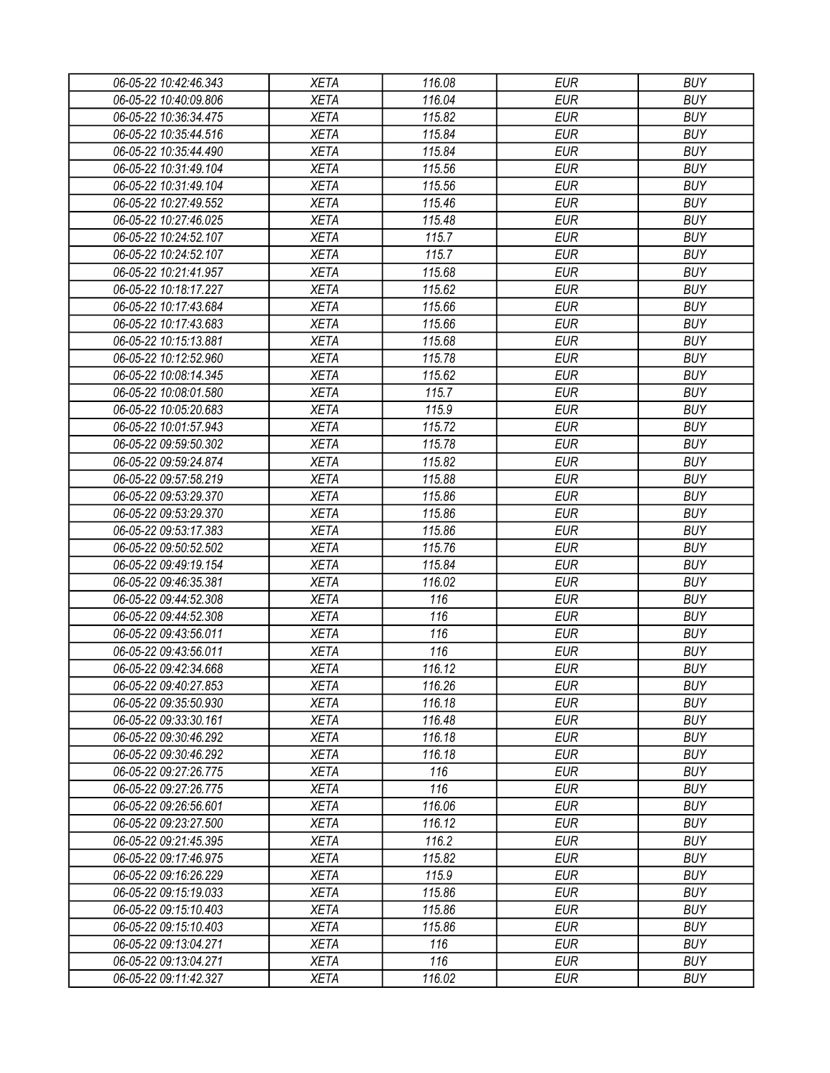| 06-05-22 10:42:46.343 | <b>XETA</b> | 116.08 | <b>EUR</b> | <b>BUY</b> |
|-----------------------|-------------|--------|------------|------------|
| 06-05-22 10:40:09.806 | <b>XETA</b> | 116.04 | <b>EUR</b> | <b>BUY</b> |
| 06-05-22 10:36:34.475 | <b>XETA</b> | 115.82 | <b>EUR</b> | <b>BUY</b> |
| 06-05-22 10:35:44.516 | <b>XETA</b> | 115.84 | <b>EUR</b> | <b>BUY</b> |
| 06-05-22 10:35:44.490 | <b>XETA</b> | 115.84 | <b>EUR</b> | <b>BUY</b> |
| 06-05-22 10:31:49.104 | <b>XETA</b> | 115.56 | <b>EUR</b> | <b>BUY</b> |
| 06-05-22 10:31:49.104 | <b>XETA</b> | 115.56 | <b>EUR</b> | <b>BUY</b> |
| 06-05-22 10:27:49.552 | <b>XETA</b> | 115.46 | <b>EUR</b> | <b>BUY</b> |
| 06-05-22 10:27:46.025 | <b>XETA</b> | 115.48 | <b>EUR</b> | <b>BUY</b> |
| 06-05-22 10:24:52.107 | <b>XETA</b> | 115.7  | <b>EUR</b> | <b>BUY</b> |
| 06-05-22 10:24:52.107 | <b>XETA</b> | 115.7  | <b>EUR</b> | <b>BUY</b> |
| 06-05-22 10:21:41.957 | <b>XETA</b> | 115.68 | <b>EUR</b> | <b>BUY</b> |
| 06-05-22 10:18:17.227 | <b>XETA</b> | 115.62 | <b>EUR</b> | <b>BUY</b> |
| 06-05-22 10:17:43.684 | <b>XETA</b> | 115.66 | <b>EUR</b> | <b>BUY</b> |
| 06-05-22 10:17:43.683 | <b>XETA</b> | 115.66 | <b>EUR</b> | <b>BUY</b> |
| 06-05-22 10:15:13.881 | <b>XETA</b> | 115.68 | <b>EUR</b> | <b>BUY</b> |
| 06-05-22 10:12:52.960 | <b>XETA</b> | 115.78 | <b>EUR</b> | <b>BUY</b> |
| 06-05-22 10:08:14.345 | <b>XETA</b> | 115.62 | <b>EUR</b> | <b>BUY</b> |
| 06-05-22 10:08:01.580 | <b>XETA</b> | 115.7  | <b>EUR</b> | <b>BUY</b> |
| 06-05-22 10:05:20.683 | <b>XETA</b> | 115.9  | <b>EUR</b> | <b>BUY</b> |
| 06-05-22 10:01:57.943 | <b>XETA</b> | 115.72 | <b>EUR</b> | <b>BUY</b> |
| 06-05-22 09:59:50.302 | <b>XETA</b> | 115.78 | <b>EUR</b> | <b>BUY</b> |
| 06-05-22 09:59:24.874 | <b>XETA</b> | 115.82 | <b>EUR</b> | <b>BUY</b> |
| 06-05-22 09:57:58.219 | <b>XETA</b> | 115.88 | <b>EUR</b> | <b>BUY</b> |
| 06-05-22 09:53:29.370 | <b>XETA</b> | 115.86 | <b>EUR</b> | <b>BUY</b> |
| 06-05-22 09:53:29.370 | <b>XETA</b> | 115.86 | <b>EUR</b> | <b>BUY</b> |
| 06-05-22 09:53:17.383 | <b>XETA</b> | 115.86 | <b>EUR</b> | <b>BUY</b> |
| 06-05-22 09:50:52.502 | <b>XETA</b> | 115.76 | <b>EUR</b> | <b>BUY</b> |
| 06-05-22 09:49:19.154 | <b>XETA</b> | 115.84 | <b>EUR</b> | <b>BUY</b> |
| 06-05-22 09:46:35.381 | <b>XETA</b> | 116.02 | <b>EUR</b> | <b>BUY</b> |
| 06-05-22 09:44:52.308 | <b>XETA</b> | 116    | <b>EUR</b> | <b>BUY</b> |
| 06-05-22 09:44:52.308 | <b>XETA</b> | 116    | <b>EUR</b> | <b>BUY</b> |
| 06-05-22 09:43:56.011 | <b>XETA</b> | 116    | <b>EUR</b> | <b>BUY</b> |
| 06-05-22 09:43:56.011 | <b>XETA</b> | 116    | <b>EUR</b> | <b>BUY</b> |
| 06-05-22 09:42:34.668 | <b>XETA</b> | 116.12 | <b>EUR</b> | <b>BUY</b> |
| 06-05-22 09:40:27.853 | <b>XETA</b> | 116.26 | <b>EUR</b> | <b>BUY</b> |
| 06-05-22 09:35:50.930 | <b>XETA</b> | 116.18 | <b>EUR</b> | <b>BUY</b> |
| 06-05-22 09:33:30.161 | <b>XETA</b> | 116.48 | <b>EUR</b> | <b>BUY</b> |
| 06-05-22 09:30:46.292 | <b>XETA</b> | 116.18 | <b>EUR</b> | <b>BUY</b> |
| 06-05-22 09:30:46.292 | <b>XETA</b> | 116.18 | <b>EUR</b> | <b>BUY</b> |
| 06-05-22 09:27:26.775 | <b>XETA</b> | 116    | <b>EUR</b> | <b>BUY</b> |
| 06-05-22 09:27:26.775 | <b>XETA</b> | 116    | <b>EUR</b> | <b>BUY</b> |
| 06-05-22 09:26:56.601 | <b>XETA</b> | 116.06 | <b>EUR</b> | <b>BUY</b> |
| 06-05-22 09:23:27.500 | <b>XETA</b> | 116.12 | <b>EUR</b> | <b>BUY</b> |
| 06-05-22 09:21:45.395 | <b>XETA</b> | 116.2  | <b>EUR</b> | <b>BUY</b> |
| 06-05-22 09:17:46.975 | <b>XETA</b> | 115.82 | <b>EUR</b> | <b>BUY</b> |
| 06-05-22 09:16:26.229 | <b>XETA</b> | 115.9  | <b>EUR</b> | <b>BUY</b> |
| 06-05-22 09:15:19.033 | <b>XETA</b> | 115.86 | <b>EUR</b> | <b>BUY</b> |
| 06-05-22 09:15:10.403 | <b>XETA</b> | 115.86 | <b>EUR</b> | <b>BUY</b> |
| 06-05-22 09:15:10.403 | <b>XETA</b> | 115.86 | <b>EUR</b> | <b>BUY</b> |
| 06-05-22 09:13:04.271 | <b>XETA</b> | 116    | <b>EUR</b> | <b>BUY</b> |
| 06-05-22 09:13:04.271 | <b>XETA</b> | 116    | <b>EUR</b> | <b>BUY</b> |
| 06-05-22 09:11:42.327 | <b>XETA</b> | 116.02 | <b>EUR</b> | <b>BUY</b> |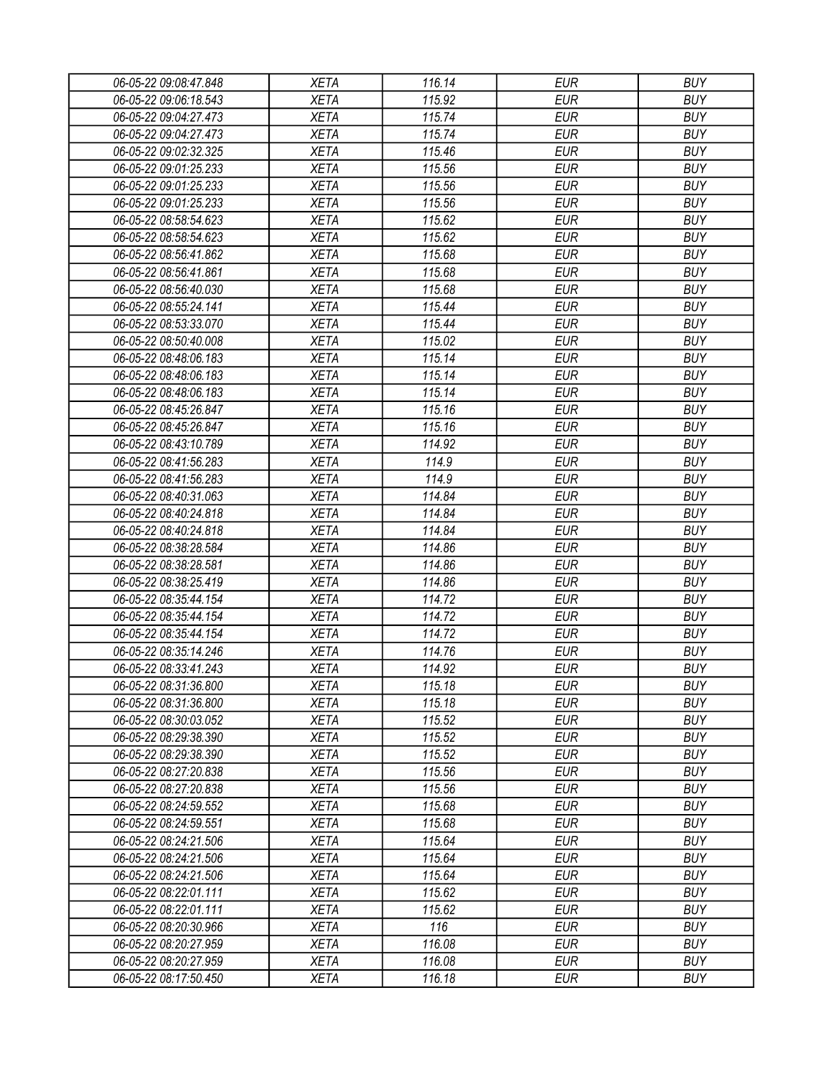| 06-05-22 09:08:47.848                          | <b>XETA</b> | 116.14           | <b>EUR</b> | <b>BUY</b> |
|------------------------------------------------|-------------|------------------|------------|------------|
| 06-05-22 09:06:18.543                          | <b>XETA</b> | 115.92           | <b>EUR</b> | <b>BUY</b> |
| 06-05-22 09:04:27.473                          | <b>XETA</b> | 115.74           | <b>EUR</b> | <b>BUY</b> |
| 06-05-22 09:04:27.473                          | <b>XETA</b> | 115.74           | <b>EUR</b> | <b>BUY</b> |
| 06-05-22 09:02:32.325                          | <b>XETA</b> | 115.46           | <b>EUR</b> | <b>BUY</b> |
| 06-05-22 09:01:25.233                          | <b>XETA</b> | 115.56           | <b>EUR</b> | <b>BUY</b> |
| 06-05-22 09:01:25.233                          | <b>XETA</b> | 115.56           | <b>EUR</b> | <b>BUY</b> |
| 06-05-22 09:01:25.233                          | <b>XETA</b> | 115.56           | <b>EUR</b> | <b>BUY</b> |
| 06-05-22 08:58:54.623                          | <b>XETA</b> | 115.62           | <b>EUR</b> | <b>BUY</b> |
| 06-05-22 08:58:54.623                          | <b>XETA</b> | 115.62           | <b>EUR</b> | <b>BUY</b> |
| 06-05-22 08:56:41.862                          | <b>XETA</b> | 115.68           | <b>EUR</b> | <b>BUY</b> |
| 06-05-22 08:56:41.861                          | <b>XETA</b> | 115.68           | <b>EUR</b> | <b>BUY</b> |
| 06-05-22 08:56:40.030                          | <b>XETA</b> | 115.68           | <b>EUR</b> | <b>BUY</b> |
| 06-05-22 08:55:24.141                          | <b>XETA</b> | 115.44           | <b>EUR</b> | <b>BUY</b> |
| 06-05-22 08:53:33.070                          | <b>XETA</b> | 115.44           | <b>EUR</b> | <b>BUY</b> |
| 06-05-22 08:50:40.008                          | <b>XETA</b> | 115.02           | <b>EUR</b> | <b>BUY</b> |
| 06-05-22 08:48:06.183                          | <b>XETA</b> | 115.14           | <b>EUR</b> | <b>BUY</b> |
| 06-05-22 08:48:06.183                          | <b>XETA</b> | 115.14           | <b>EUR</b> | <b>BUY</b> |
| 06-05-22 08:48:06.183                          | <b>XETA</b> | 115.14           | <b>EUR</b> | <b>BUY</b> |
| 06-05-22 08:45:26.847                          | <b>XETA</b> | 115.16           | <b>EUR</b> | <b>BUY</b> |
| 06-05-22 08:45:26.847                          | <b>XETA</b> | 115.16           | <b>EUR</b> | <b>BUY</b> |
| 06-05-22 08:43:10.789                          | <b>XETA</b> | 114.92           | <b>EUR</b> | <b>BUY</b> |
| 06-05-22 08:41:56.283                          | <b>XETA</b> | 114.9            | <b>EUR</b> | <b>BUY</b> |
| 06-05-22 08:41:56.283                          | <b>XETA</b> | 114.9            | <b>EUR</b> | <b>BUY</b> |
| 06-05-22 08:40:31.063                          | <b>XETA</b> | 114.84           | <b>EUR</b> | <b>BUY</b> |
| 06-05-22 08:40:24.818                          | <b>XETA</b> | 114.84           | <b>EUR</b> | <b>BUY</b> |
| 06-05-22 08:40:24.818                          | <b>XETA</b> | 114.84           | <b>EUR</b> | <b>BUY</b> |
| 06-05-22 08:38:28.584                          | <b>XETA</b> | 114.86           | <b>EUR</b> | <b>BUY</b> |
| 06-05-22 08:38:28.581                          | <b>XETA</b> | 114.86           | <b>EUR</b> | <b>BUY</b> |
| 06-05-22 08:38:25.419                          | <b>XETA</b> | 114.86           | <b>EUR</b> | <b>BUY</b> |
| 06-05-22 08:35:44.154                          | <b>XETA</b> | 114.72           | <b>EUR</b> | <b>BUY</b> |
| 06-05-22 08:35:44.154                          | <b>XETA</b> | 114.72           | <b>EUR</b> | <b>BUY</b> |
| 06-05-22 08:35:44.154                          | <b>XETA</b> | 114.72           | <b>EUR</b> | <b>BUY</b> |
| 06-05-22 08:35:14.246                          | <b>XETA</b> | 114.76           | <b>EUR</b> | <b>BUY</b> |
| 06-05-22 08:33:41.243                          | <b>XETA</b> | 114.92           | <b>EUR</b> | <b>BUY</b> |
| 06-05-22 08:31:36.800                          | <b>XETA</b> | 115.18           | <b>EUR</b> | <b>BUY</b> |
| 06-05-22 08:31:36.800                          | <b>XETA</b> | 115.18           | <b>EUR</b> | <b>BUY</b> |
| 06-05-22 08:30:03.052                          | <b>XETA</b> | 115.52           | <b>EUR</b> | <b>BUY</b> |
|                                                | <b>XETA</b> |                  | <b>EUR</b> | <b>BUY</b> |
| 06-05-22 08:29:38.390<br>06-05-22 08:29:38.390 |             | 115.52           |            | <b>BUY</b> |
|                                                | <b>XETA</b> | 115.52           | <b>EUR</b> |            |
| 06-05-22 08:27:20.838                          | XETA        | 115.56           | <b>EUR</b> | <b>BUY</b> |
| 06-05-22 08:27:20.838                          | <b>XETA</b> | 115.56<br>115.68 | <b>EUR</b> | <b>BUY</b> |
| 06-05-22 08:24:59.552                          | <b>XETA</b> |                  | <b>EUR</b> | <b>BUY</b> |
| 06-05-22 08:24:59.551                          | <b>XETA</b> | 115.68           | <b>EUR</b> | <b>BUY</b> |
| 06-05-22 08:24:21.506                          | <b>XETA</b> | 115.64           | <b>EUR</b> | <b>BUY</b> |
| 06-05-22 08:24:21.506                          | <b>XETA</b> | 115.64           | <b>EUR</b> | <b>BUY</b> |
| 06-05-22 08:24:21.506                          | <b>XETA</b> | 115.64           | <b>EUR</b> | <b>BUY</b> |
| 06-05-22 08:22:01.111                          | <b>XETA</b> | 115.62           | <b>EUR</b> | <b>BUY</b> |
| 06-05-22 08:22:01.111                          | <b>XETA</b> | 115.62           | <b>EUR</b> | <b>BUY</b> |
| 06-05-22 08:20:30.966                          | <b>XETA</b> | 116              | <b>EUR</b> | <b>BUY</b> |
| 06-05-22 08:20:27.959                          | <b>XETA</b> | 116.08           | <b>EUR</b> | <b>BUY</b> |
| 06-05-22 08:20:27.959                          | <b>XETA</b> | 116.08           | <b>EUR</b> | <b>BUY</b> |
| 06-05-22 08:17:50.450                          | XETA        | 116.18           | <b>EUR</b> | <b>BUY</b> |